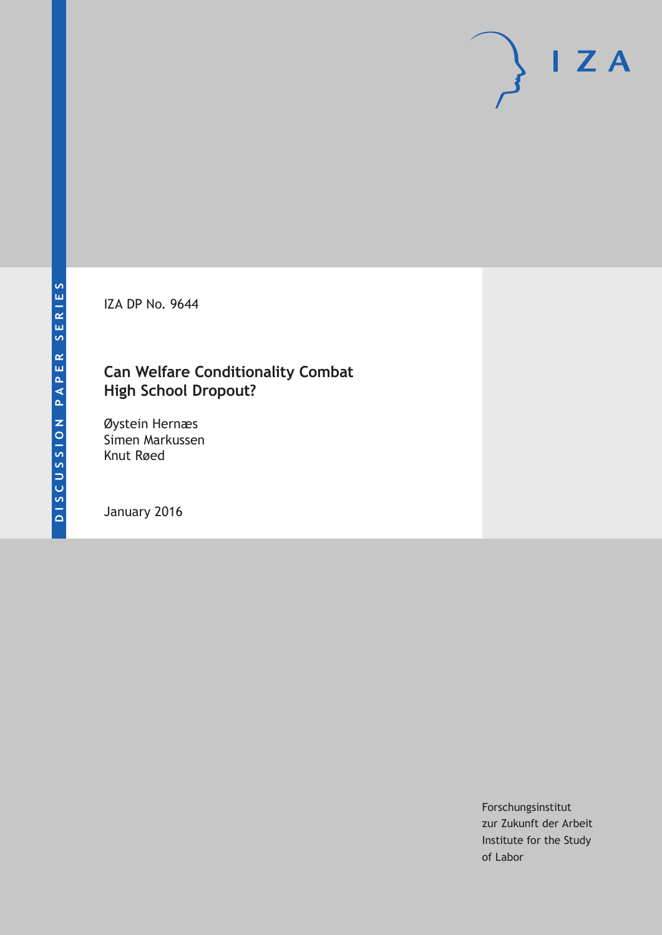IZA DP No. 9644

# **Can Welfare Conditionality Combat High School Dropout?**

Øystein Hernæs Simen Markussen Knut Røed

January 2016

Forschungsinstitut zur Zukunft der Arbeit Institute for the Study of Labor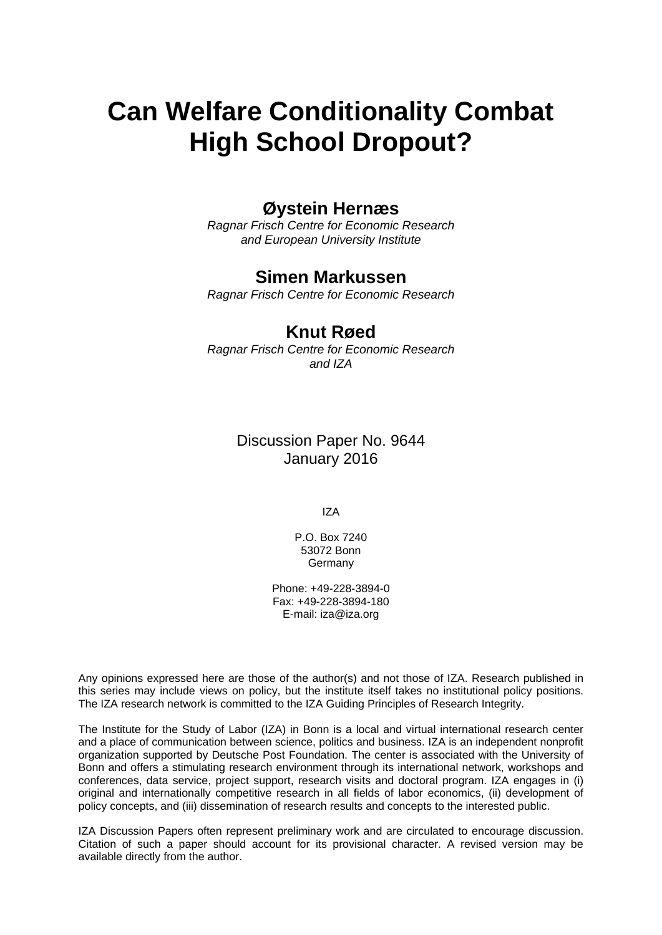# **Can Welfare Conditionality Combat High School Dropout?**

## **Øystein Hernæs**

*Ragnar Frisch Centre for Economic Research and European University Institute* 

### **Simen Markussen**

*Ragnar Frisch Centre for Economic Research* 

### **Knut Røed**

*Ragnar Frisch Centre for Economic Research and IZA*

> Discussion Paper No. 9644 January 2016

> > IZA

P.O. Box 7240 53072 Bonn Germany

Phone: +49-228-3894-0 Fax: +49-228-3894-180 E-mail: iza@iza.org

Any opinions expressed here are those of the author(s) and not those of IZA. Research published in this series may include views on policy, but the institute itself takes no institutional policy positions. The IZA research network is committed to the IZA Guiding Principles of Research Integrity.

The Institute for the Study of Labor (IZA) in Bonn is a local and virtual international research center and a place of communication between science, politics and business. IZA is an independent nonprofit organization supported by Deutsche Post Foundation. The center is associated with the University of Bonn and offers a stimulating research environment through its international network, workshops and conferences, data service, project support, research visits and doctoral program. IZA engages in (i) original and internationally competitive research in all fields of labor economics, (ii) development of policy concepts, and (iii) dissemination of research results and concepts to the interested public.

IZA Discussion Papers often represent preliminary work and are circulated to encourage discussion. Citation of such a paper should account for its provisional character. A revised version may be available directly from the author.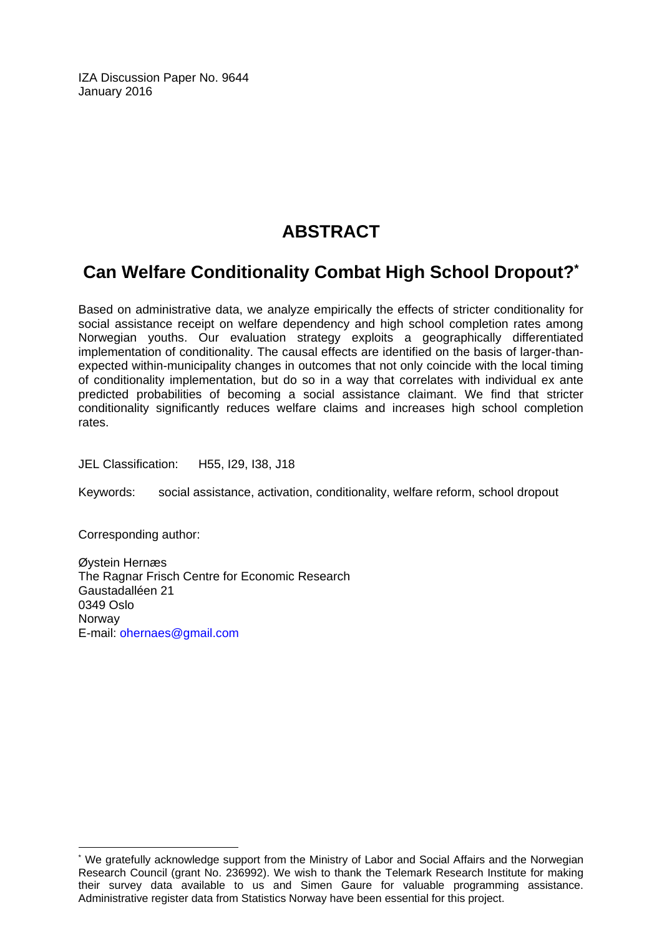IZA Discussion Paper No. 9644 January 2016

# **ABSTRACT**

# **Can Welfare Conditionality Combat High School Dropout?\***

Based on administrative data, we analyze empirically the effects of stricter conditionality for social assistance receipt on welfare dependency and high school completion rates among Norwegian youths. Our evaluation strategy exploits a geographically differentiated implementation of conditionality. The causal effects are identified on the basis of larger-thanexpected within-municipality changes in outcomes that not only coincide with the local timing of conditionality implementation, but do so in a way that correlates with individual ex ante predicted probabilities of becoming a social assistance claimant. We find that stricter conditionality significantly reduces welfare claims and increases high school completion rates.

JEL Classification: H55, I29, I38, J18

Keywords: social assistance, activation, conditionality, welfare reform, school dropout

Corresponding author:

 $\overline{\phantom{a}}$ 

Øystein Hernæs The Ragnar Frisch Centre for Economic Research Gaustadalléen 21 0349 Oslo **Norway** E-mail: ohernaes@gmail.com

<sup>\*</sup> We gratefully acknowledge support from the Ministry of Labor and Social Affairs and the Norwegian Research Council (grant No. 236992). We wish to thank the Telemark Research Institute for making their survey data available to us and Simen Gaure for valuable programming assistance. Administrative register data from Statistics Norway have been essential for this project.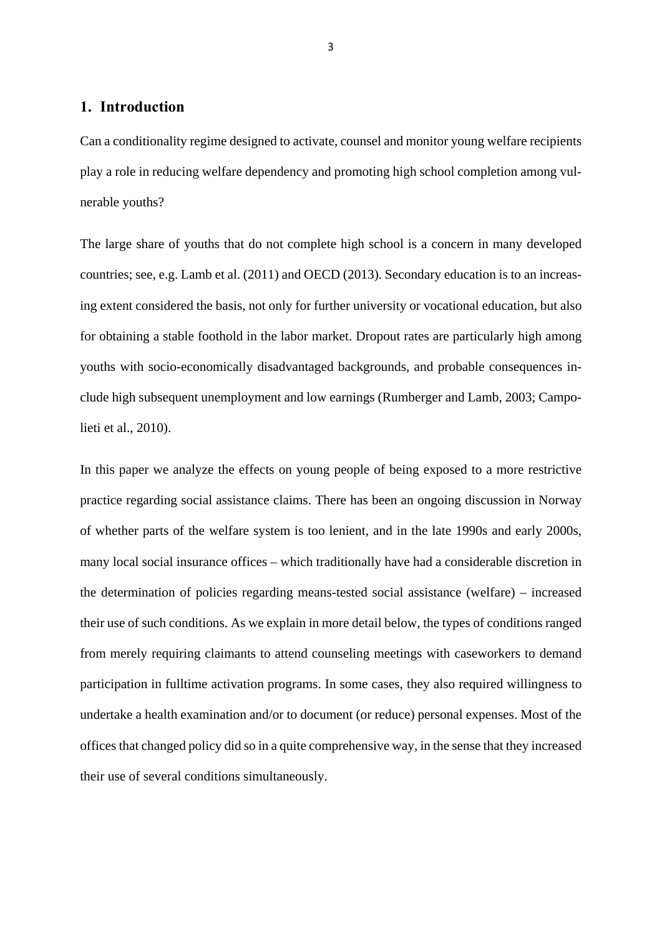### **1. Introduction**

Can a conditionality regime designed to activate, counsel and monitor young welfare recipients play a role in reducing welfare dependency and promoting high school completion among vulnerable youths?

The large share of youths that do not complete high school is a concern in many developed countries; see, e.g. Lamb et al. (2011) and OECD (2013). Secondary education is to an increasing extent considered the basis, not only for further university or vocational education, but also for obtaining a stable foothold in the labor market. Dropout rates are particularly high among youths with socio-economically disadvantaged backgrounds, and probable consequences include high subsequent unemployment and low earnings (Rumberger and Lamb, 2003; Campolieti et al., 2010).

In this paper we analyze the effects on young people of being exposed to a more restrictive practice regarding social assistance claims. There has been an ongoing discussion in Norway of whether parts of the welfare system is too lenient, and in the late 1990s and early 2000s, many local social insurance offices – which traditionally have had a considerable discretion in the determination of policies regarding means-tested social assistance (welfare) – increased their use of such conditions. As we explain in more detail below, the types of conditions ranged from merely requiring claimants to attend counseling meetings with caseworkers to demand participation in fulltime activation programs. In some cases, they also required willingness to undertake a health examination and/or to document (or reduce) personal expenses. Most of the offices that changed policy did so in a quite comprehensive way, in the sense that they increased their use of several conditions simultaneously.

3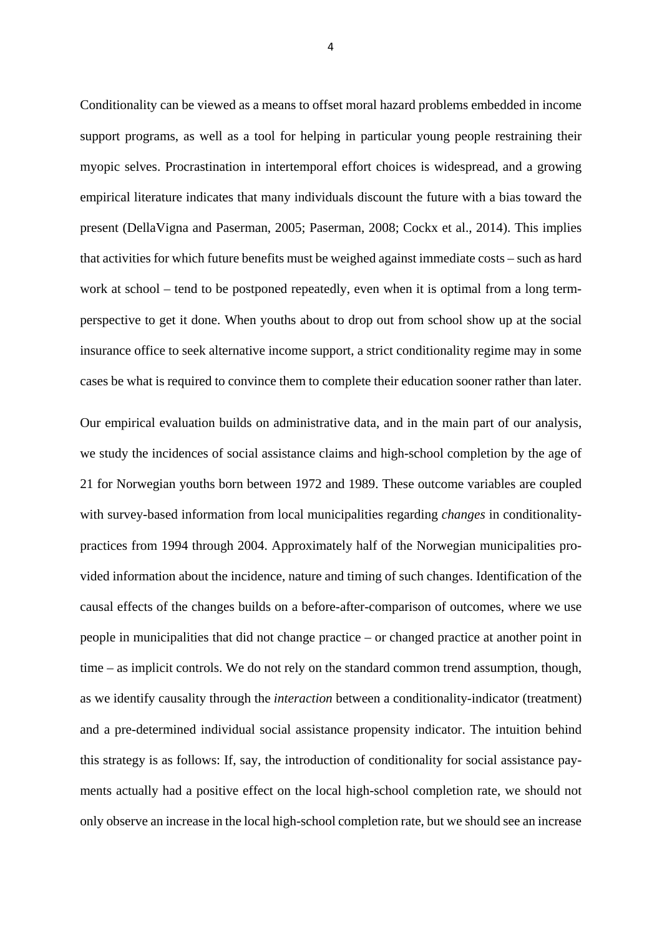Conditionality can be viewed as a means to offset moral hazard problems embedded in income support programs, as well as a tool for helping in particular young people restraining their myopic selves. Procrastination in intertemporal effort choices is widespread, and a growing empirical literature indicates that many individuals discount the future with a bias toward the present (DellaVigna and Paserman, 2005; Paserman, 2008; Cockx et al., 2014). This implies that activities for which future benefits must be weighed against immediate costs – such as hard work at school – tend to be postponed repeatedly, even when it is optimal from a long termperspective to get it done. When youths about to drop out from school show up at the social insurance office to seek alternative income support, a strict conditionality regime may in some cases be what is required to convince them to complete their education sooner rather than later.

Our empirical evaluation builds on administrative data, and in the main part of our analysis, we study the incidences of social assistance claims and high-school completion by the age of 21 for Norwegian youths born between 1972 and 1989. These outcome variables are coupled with survey-based information from local municipalities regarding *changes* in conditionalitypractices from 1994 through 2004. Approximately half of the Norwegian municipalities provided information about the incidence, nature and timing of such changes. Identification of the causal effects of the changes builds on a before-after-comparison of outcomes, where we use people in municipalities that did not change practice – or changed practice at another point in time – as implicit controls. We do not rely on the standard common trend assumption, though, as we identify causality through the *interaction* between a conditionality-indicator (treatment) and a pre-determined individual social assistance propensity indicator. The intuition behind this strategy is as follows: If, say, the introduction of conditionality for social assistance payments actually had a positive effect on the local high-school completion rate, we should not only observe an increase in the local high-school completion rate, but we should see an increase

4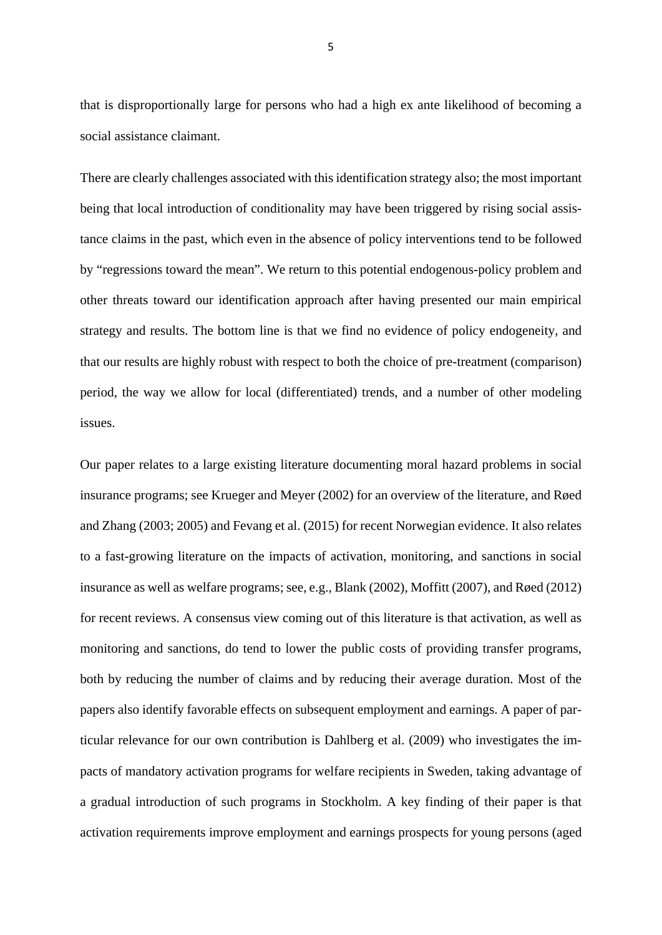that is disproportionally large for persons who had a high ex ante likelihood of becoming a social assistance claimant.

There are clearly challenges associated with this identification strategy also; the most important being that local introduction of conditionality may have been triggered by rising social assistance claims in the past, which even in the absence of policy interventions tend to be followed by "regressions toward the mean". We return to this potential endogenous-policy problem and other threats toward our identification approach after having presented our main empirical strategy and results. The bottom line is that we find no evidence of policy endogeneity, and that our results are highly robust with respect to both the choice of pre-treatment (comparison) period, the way we allow for local (differentiated) trends, and a number of other modeling issues.

Our paper relates to a large existing literature documenting moral hazard problems in social insurance programs; see Krueger and Meyer (2002) for an overview of the literature, and Røed and Zhang (2003; 2005) and Fevang et al. (2015) for recent Norwegian evidence. It also relates to a fast-growing literature on the impacts of activation, monitoring, and sanctions in social insurance as well as welfare programs; see, e.g., Blank (2002), Moffitt (2007), and Røed (2012) for recent reviews. A consensus view coming out of this literature is that activation, as well as monitoring and sanctions, do tend to lower the public costs of providing transfer programs, both by reducing the number of claims and by reducing their average duration. Most of the papers also identify favorable effects on subsequent employment and earnings. A paper of particular relevance for our own contribution is Dahlberg et al. (2009) who investigates the impacts of mandatory activation programs for welfare recipients in Sweden, taking advantage of a gradual introduction of such programs in Stockholm. A key finding of their paper is that activation requirements improve employment and earnings prospects for young persons (aged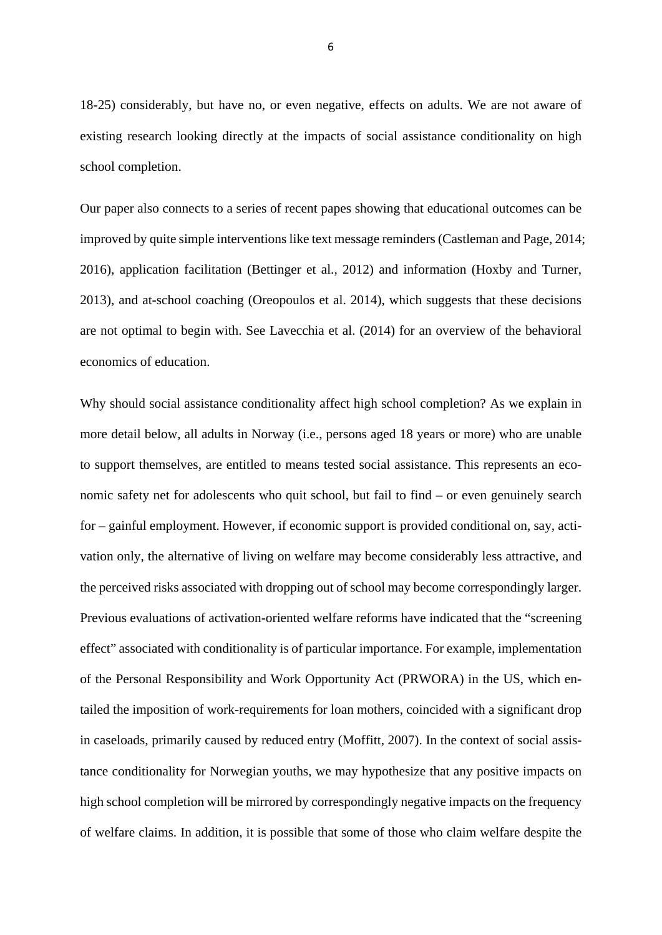18-25) considerably, but have no, or even negative, effects on adults. We are not aware of existing research looking directly at the impacts of social assistance conditionality on high school completion.

Our paper also connects to a series of recent papes showing that educational outcomes can be improved by quite simple interventions like text message reminders (Castleman and Page, 2014; 2016), application facilitation (Bettinger et al., 2012) and information (Hoxby and Turner, 2013), and at-school coaching (Oreopoulos et al. 2014), which suggests that these decisions are not optimal to begin with. See Lavecchia et al. (2014) for an overview of the behavioral economics of education.

Why should social assistance conditionality affect high school completion? As we explain in more detail below, all adults in Norway (i.e., persons aged 18 years or more) who are unable to support themselves, are entitled to means tested social assistance. This represents an economic safety net for adolescents who quit school, but fail to find – or even genuinely search for – gainful employment. However, if economic support is provided conditional on, say, activation only, the alternative of living on welfare may become considerably less attractive, and the perceived risks associated with dropping out of school may become correspondingly larger. Previous evaluations of activation-oriented welfare reforms have indicated that the "screening effect" associated with conditionality is of particular importance. For example, implementation of the Personal Responsibility and Work Opportunity Act (PRWORA) in the US, which entailed the imposition of work-requirements for loan mothers, coincided with a significant drop in caseloads, primarily caused by reduced entry (Moffitt, 2007). In the context of social assistance conditionality for Norwegian youths, we may hypothesize that any positive impacts on high school completion will be mirrored by correspondingly negative impacts on the frequency of welfare claims. In addition, it is possible that some of those who claim welfare despite the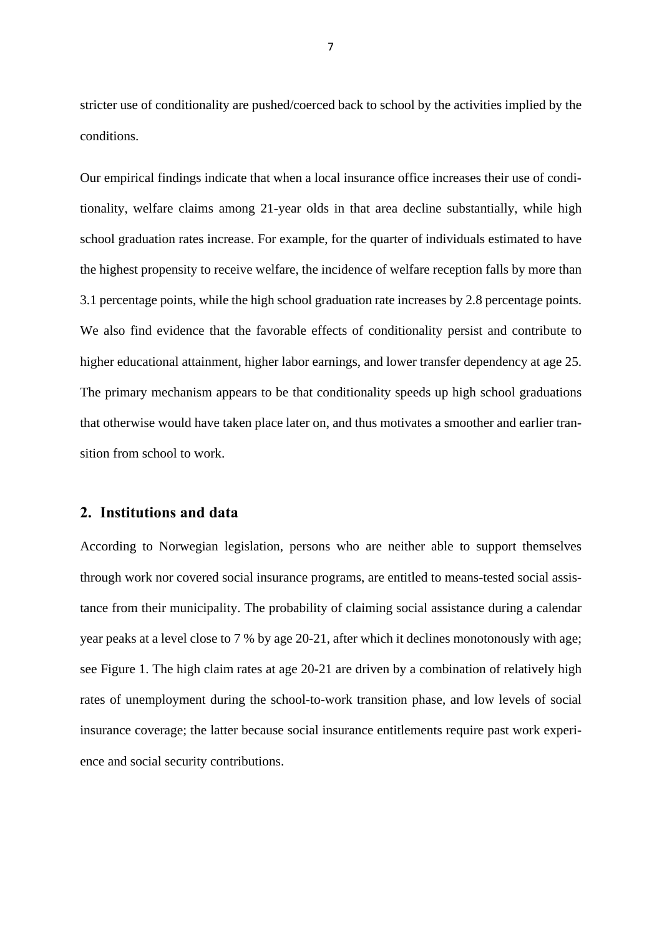stricter use of conditionality are pushed/coerced back to school by the activities implied by the conditions.

Our empirical findings indicate that when a local insurance office increases their use of conditionality, welfare claims among 21-year olds in that area decline substantially, while high school graduation rates increase. For example, for the quarter of individuals estimated to have the highest propensity to receive welfare, the incidence of welfare reception falls by more than 3.1 percentage points, while the high school graduation rate increases by 2.8 percentage points. We also find evidence that the favorable effects of conditionality persist and contribute to higher educational attainment, higher labor earnings, and lower transfer dependency at age 25. The primary mechanism appears to be that conditionality speeds up high school graduations that otherwise would have taken place later on, and thus motivates a smoother and earlier transition from school to work.

#### **2. Institutions and data**

According to Norwegian legislation, persons who are neither able to support themselves through work nor covered social insurance programs, are entitled to means-tested social assistance from their municipality. The probability of claiming social assistance during a calendar year peaks at a level close to 7 % by age 20-21, after which it declines monotonously with age; see Figure 1. The high claim rates at age 20-21 are driven by a combination of relatively high rates of unemployment during the school-to-work transition phase, and low levels of social insurance coverage; the latter because social insurance entitlements require past work experience and social security contributions.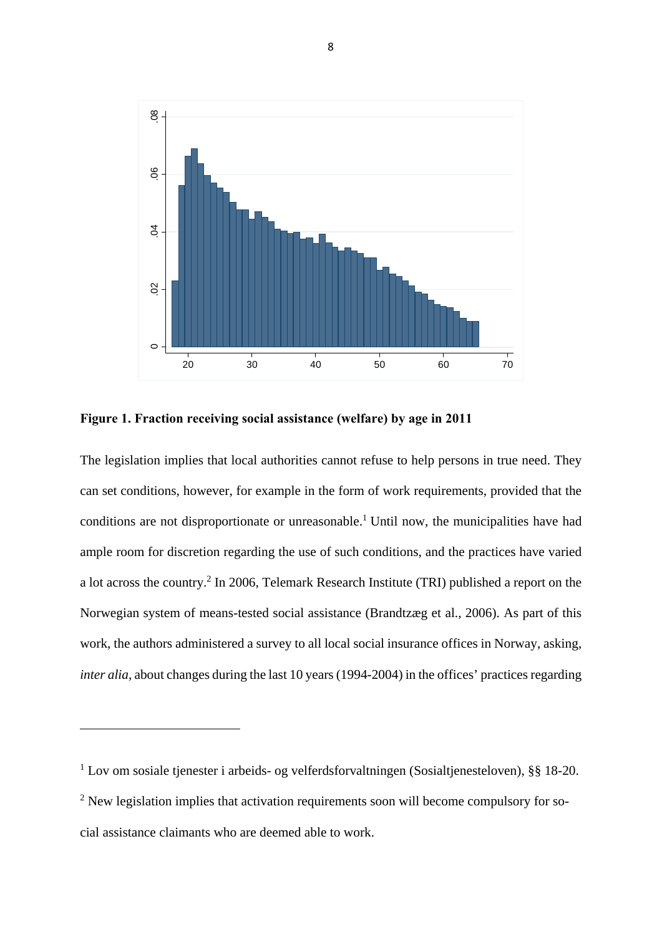

**Figure 1. Fraction receiving social assistance (welfare) by age in 2011** 

The legislation implies that local authorities cannot refuse to help persons in true need. They can set conditions, however, for example in the form of work requirements, provided that the conditions are not disproportionate or unreasonable.<sup>1</sup> Until now, the municipalities have had ample room for discretion regarding the use of such conditions, and the practices have varied a lot across the country.<sup>2</sup> In 2006, Telemark Research Institute (TRI) published a report on the Norwegian system of means-tested social assistance (Brandtzæg et al., 2006). As part of this work, the authors administered a survey to all local social insurance offices in Norway, asking, *inter alia*, about changes during the last 10 years (1994-2004) in the offices' practices regarding

<sup>1</sup> Lov om sosiale tjenester i arbeids- og velferdsforvaltningen (Sosialtjenesteloven), §§ 18-20. <sup>2</sup> New legislation implies that activation requirements soon will become compulsory for social assistance claimants who are deemed able to work.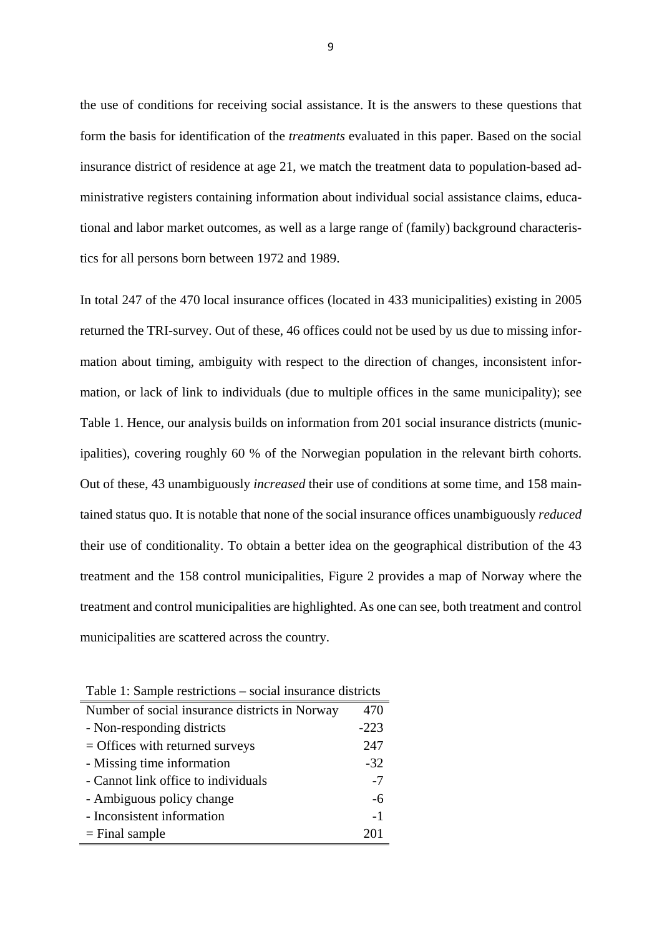the use of conditions for receiving social assistance. It is the answers to these questions that form the basis for identification of the *treatments* evaluated in this paper. Based on the social insurance district of residence at age 21, we match the treatment data to population-based administrative registers containing information about individual social assistance claims, educational and labor market outcomes, as well as a large range of (family) background characteristics for all persons born between 1972 and 1989.

In total 247 of the 470 local insurance offices (located in 433 municipalities) existing in 2005 returned the TRI-survey. Out of these, 46 offices could not be used by us due to missing information about timing, ambiguity with respect to the direction of changes, inconsistent information, or lack of link to individuals (due to multiple offices in the same municipality); see Table 1. Hence, our analysis builds on information from 201 social insurance districts (municipalities), covering roughly 60 % of the Norwegian population in the relevant birth cohorts. Out of these, 43 unambiguously *increased* their use of conditions at some time, and 158 maintained status quo. It is notable that none of the social insurance offices unambiguously *reduced*  their use of conditionality. To obtain a better idea on the geographical distribution of the 43 treatment and the 158 control municipalities, Figure 2 provides a map of Norway where the treatment and control municipalities are highlighted. As one can see, both treatment and control municipalities are scattered across the country.

| racio 1. Sampre restrietions social mstranec districts |        |
|--------------------------------------------------------|--------|
| Number of social insurance districts in Norway         | 470    |
| - Non-responding districts                             | $-223$ |
| $=$ Offices with returned surveys                      | 247    |
| - Missing time information                             | $-32$  |
| - Cannot link office to individuals                    | $-7$   |
| - Ambiguous policy change                              | -6     |
| - Inconsistent information                             | $-1$   |
| $=$ Final sample                                       | 201    |
|                                                        |        |

Table 1: Sample restrictions – social insurance districts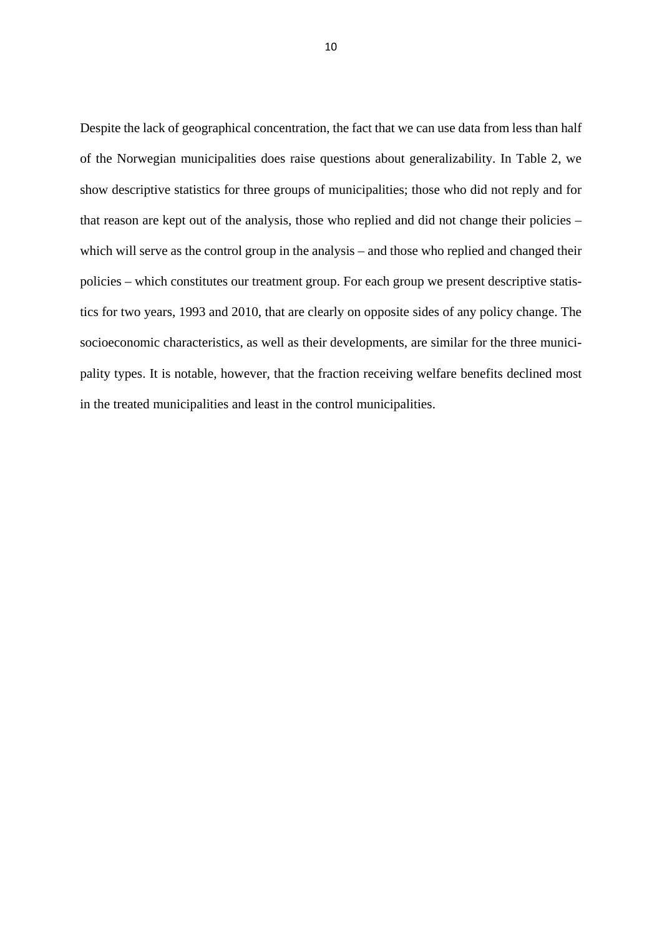Despite the lack of geographical concentration, the fact that we can use data from less than half of the Norwegian municipalities does raise questions about generalizability. In Table 2, we show descriptive statistics for three groups of municipalities; those who did not reply and for that reason are kept out of the analysis, those who replied and did not change their policies – which will serve as the control group in the analysis – and those who replied and changed their policies – which constitutes our treatment group. For each group we present descriptive statistics for two years, 1993 and 2010, that are clearly on opposite sides of any policy change. The socioeconomic characteristics, as well as their developments, are similar for the three municipality types. It is notable, however, that the fraction receiving welfare benefits declined most in the treated municipalities and least in the control municipalities.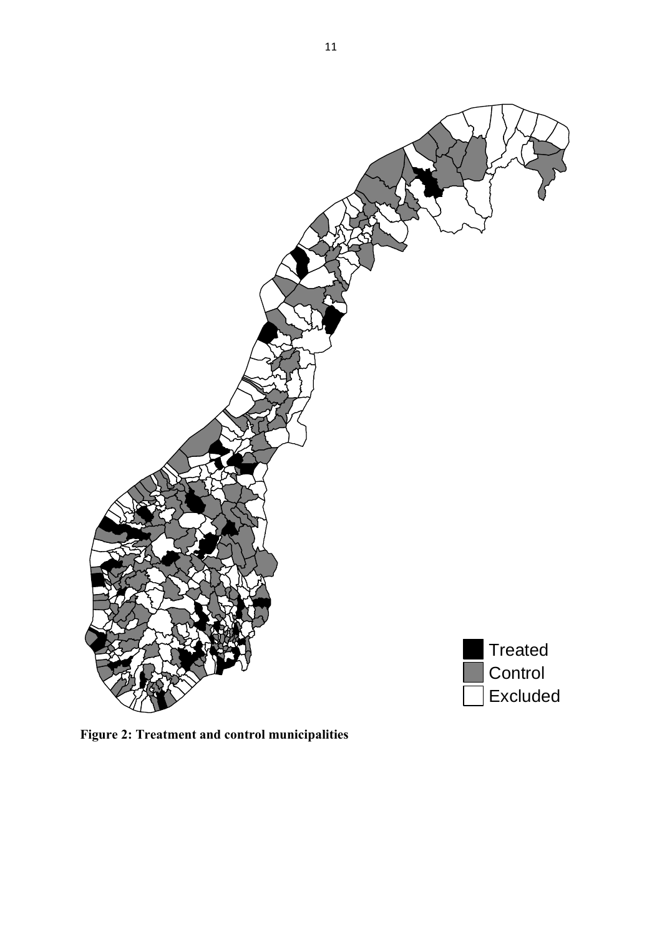

**Figure 2: Treatment and control municipalities**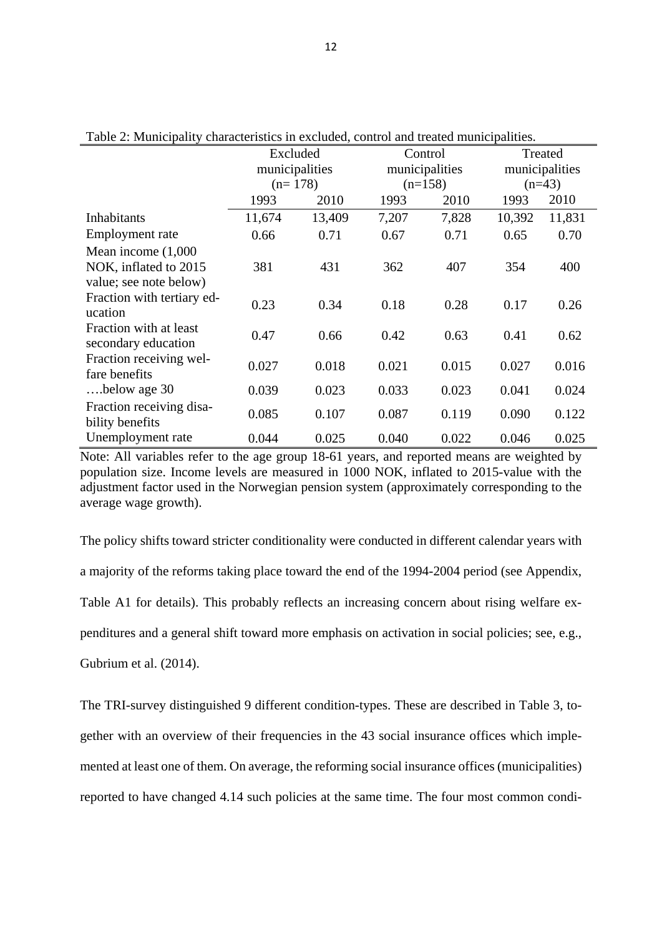| галс 2. манистранту снагаействиев нг слетайса, сони от ана исайса нияпетраниев. |                |        |                |           |                |        |  |
|---------------------------------------------------------------------------------|----------------|--------|----------------|-----------|----------------|--------|--|
|                                                                                 | Excluded       |        |                | Control   | Treated        |        |  |
|                                                                                 | municipalities |        | municipalities |           | municipalities |        |  |
|                                                                                 | $(n=178)$      |        |                | $(n=158)$ | $(n=43)$       |        |  |
|                                                                                 | 1993           | 2010   | 1993           | 2010      | 1993           | 2010   |  |
| <b>Inhabitants</b>                                                              | 11,674         | 13,409 | 7,207          | 7,828     | 10,392         | 11,831 |  |
| Employment rate                                                                 | 0.66           | 0.71   | 0.67           | 0.71      | 0.65           | 0.70   |  |
| Mean income $(1,000)$                                                           |                |        |                |           |                |        |  |
| NOK, inflated to 2015                                                           | 381            | 431    | 362            | 407       | 354            | 400    |  |
| value; see note below)                                                          |                |        |                |           |                |        |  |
| Fraction with tertiary ed-<br>ucation                                           | 0.23           | 0.34   | 0.18           | 0.28      | 0.17           | 0.26   |  |
| Fraction with at least<br>secondary education                                   | 0.47           | 0.66   | 0.42           | 0.63      | 0.41           | 0.62   |  |
| Fraction receiving wel-<br>fare benefits                                        | 0.027          | 0.018  | 0.021          | 0.015     | 0.027          | 0.016  |  |
| below age 30                                                                    | 0.039          | 0.023  | 0.033          | 0.023     | 0.041          | 0.024  |  |
| Fraction receiving disa-<br>bility benefits                                     | 0.085          | 0.107  | 0.087          | 0.119     | 0.090          | 0.122  |  |
| Unemployment rate                                                               | 0.044          | 0.025  | 0.040          | 0.022     | 0.046          | 0.025  |  |

Table 2: Municipality characteristics in excluded, control and treated municipalities.

Note: All variables refer to the age group 18-61 years, and reported means are weighted by population size. Income levels are measured in 1000 NOK, inflated to 2015-value with the adjustment factor used in the Norwegian pension system (approximately corresponding to the average wage growth).

The policy shifts toward stricter conditionality were conducted in different calendar years with a majority of the reforms taking place toward the end of the 1994-2004 period (see Appendix, Table A1 for details). This probably reflects an increasing concern about rising welfare expenditures and a general shift toward more emphasis on activation in social policies; see, e.g., Gubrium et al. (2014).

The TRI-survey distinguished 9 different condition-types. These are described in Table 3, together with an overview of their frequencies in the 43 social insurance offices which implemented at least one of them. On average, the reforming social insurance offices (municipalities) reported to have changed 4.14 such policies at the same time. The four most common condi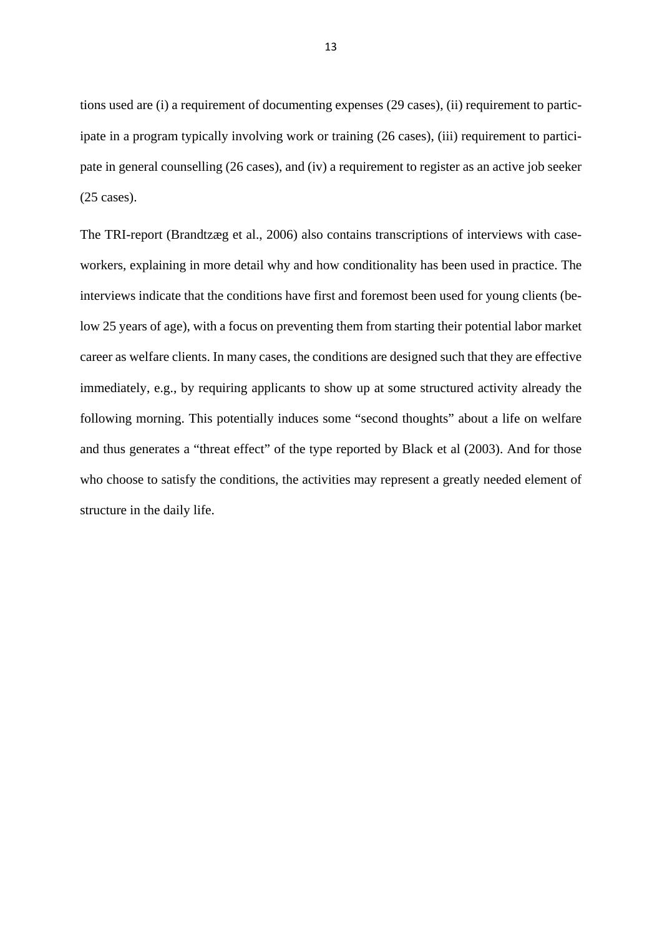tions used are (i) a requirement of documenting expenses (29 cases), (ii) requirement to participate in a program typically involving work or training (26 cases), (iii) requirement to participate in general counselling (26 cases), and (iv) a requirement to register as an active job seeker (25 cases).

The TRI-report (Brandtzæg et al., 2006) also contains transcriptions of interviews with caseworkers, explaining in more detail why and how conditionality has been used in practice. The interviews indicate that the conditions have first and foremost been used for young clients (below 25 years of age), with a focus on preventing them from starting their potential labor market career as welfare clients. In many cases, the conditions are designed such that they are effective immediately, e.g., by requiring applicants to show up at some structured activity already the following morning. This potentially induces some "second thoughts" about a life on welfare and thus generates a "threat effect" of the type reported by Black et al (2003). And for those who choose to satisfy the conditions, the activities may represent a greatly needed element of structure in the daily life.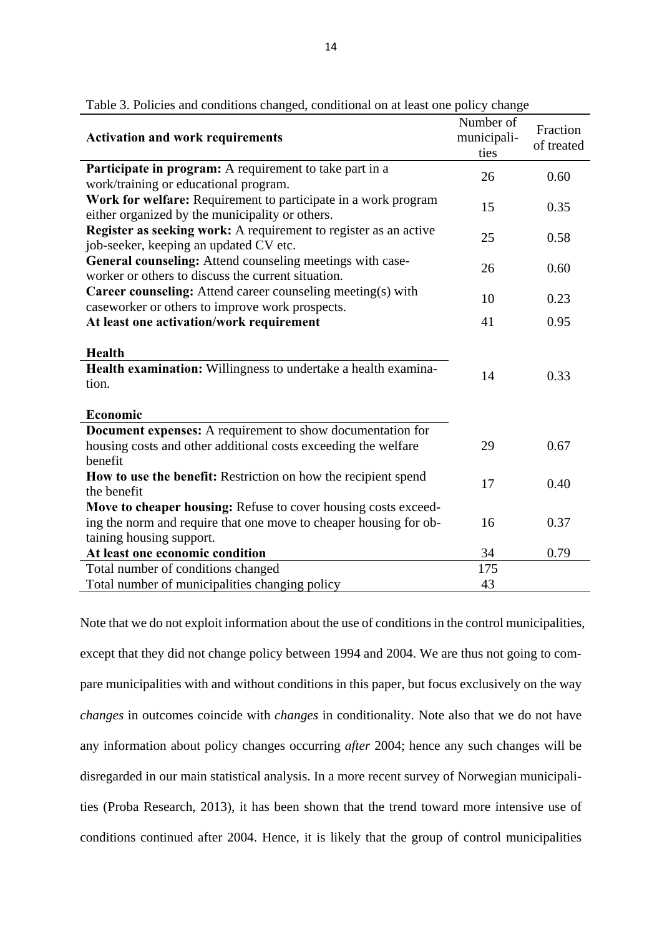| <b>Activation and work requirements</b>                                                                           | Number of<br>municipali-<br>ties | Fraction<br>of treated |
|-------------------------------------------------------------------------------------------------------------------|----------------------------------|------------------------|
| Participate in program: A requirement to take part in a                                                           | 26                               | 0.60                   |
| work/training or educational program.                                                                             |                                  |                        |
| Work for welfare: Requirement to participate in a work program<br>either organized by the municipality or others. | 15                               | 0.35                   |
| Register as seeking work: A requirement to register as an active<br>job-seeker, keeping an updated CV etc.        | 25                               | 0.58                   |
| General counseling: Attend counseling meetings with case-<br>worker or others to discuss the current situation.   | 26                               | 0.60                   |
| Career counseling: Attend career counseling meeting(s) with<br>caseworker or others to improve work prospects.    | 10                               | 0.23                   |
| At least one activation/work requirement                                                                          | 41                               | 0.95                   |
| Health                                                                                                            |                                  |                        |
| Health examination: Willingness to undertake a health examina-                                                    | 14                               | 0.33                   |
| tion.                                                                                                             |                                  |                        |
| Economic                                                                                                          |                                  |                        |
| <b>Document expenses:</b> A requirement to show documentation for                                                 |                                  |                        |
| housing costs and other additional costs exceeding the welfare                                                    | 29                               | 0.67                   |
| benefit                                                                                                           |                                  |                        |
| How to use the benefit: Restriction on how the recipient spend                                                    | 17                               | 0.40                   |
| the benefit                                                                                                       |                                  |                        |
| Move to cheaper housing: Refuse to cover housing costs exceed-                                                    |                                  |                        |
| ing the norm and require that one move to cheaper housing for ob-                                                 | 16                               | 0.37                   |
| taining housing support.                                                                                          |                                  |                        |
| At least one economic condition                                                                                   | 34                               | 0.79                   |
| Total number of conditions changed                                                                                | 175                              |                        |
| Total number of municipalities changing policy                                                                    | 43                               |                        |

|  |  | Table 3. Policies and conditions changed, conditional on at least one policy change |  |  |
|--|--|-------------------------------------------------------------------------------------|--|--|
|  |  |                                                                                     |  |  |

Note that we do not exploit information about the use of conditions in the control municipalities, except that they did not change policy between 1994 and 2004. We are thus not going to compare municipalities with and without conditions in this paper, but focus exclusively on the way *changes* in outcomes coincide with *changes* in conditionality. Note also that we do not have any information about policy changes occurring *after* 2004; hence any such changes will be disregarded in our main statistical analysis. In a more recent survey of Norwegian municipalities (Proba Research, 2013), it has been shown that the trend toward more intensive use of conditions continued after 2004. Hence, it is likely that the group of control municipalities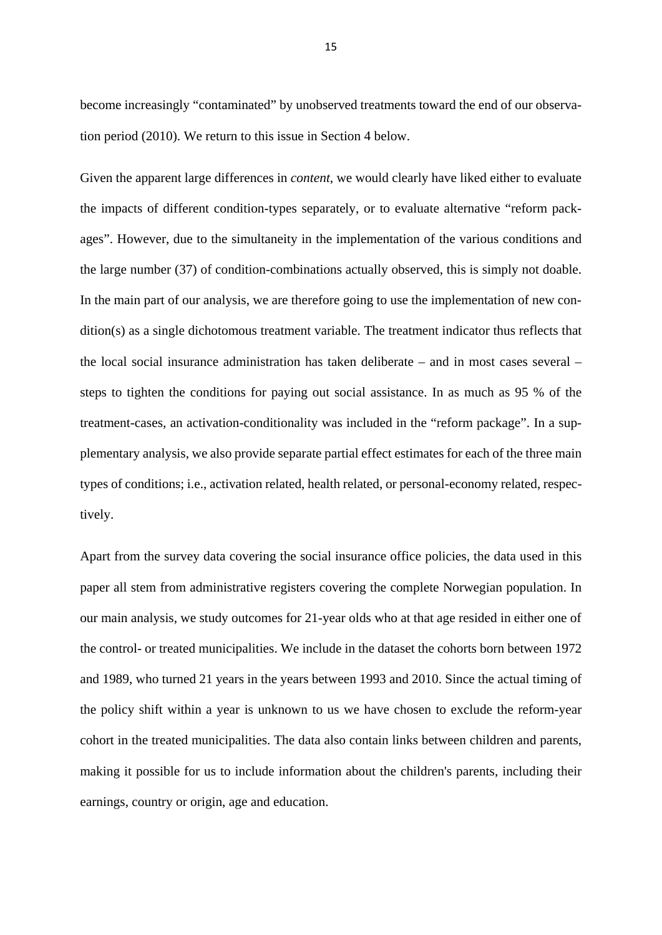become increasingly "contaminated" by unobserved treatments toward the end of our observation period (2010). We return to this issue in Section 4 below.

Given the apparent large differences in *content*, we would clearly have liked either to evaluate the impacts of different condition-types separately, or to evaluate alternative "reform packages". However, due to the simultaneity in the implementation of the various conditions and the large number (37) of condition-combinations actually observed, this is simply not doable. In the main part of our analysis, we are therefore going to use the implementation of new condition(s) as a single dichotomous treatment variable. The treatment indicator thus reflects that the local social insurance administration has taken deliberate – and in most cases several – steps to tighten the conditions for paying out social assistance. In as much as 95 % of the treatment-cases, an activation-conditionality was included in the "reform package". In a supplementary analysis, we also provide separate partial effect estimates for each of the three main types of conditions; i.e., activation related, health related, or personal-economy related, respectively.

Apart from the survey data covering the social insurance office policies, the data used in this paper all stem from administrative registers covering the complete Norwegian population. In our main analysis, we study outcomes for 21-year olds who at that age resided in either one of the control- or treated municipalities. We include in the dataset the cohorts born between 1972 and 1989, who turned 21 years in the years between 1993 and 2010. Since the actual timing of the policy shift within a year is unknown to us we have chosen to exclude the reform-year cohort in the treated municipalities. The data also contain links between children and parents, making it possible for us to include information about the children's parents, including their earnings, country or origin, age and education.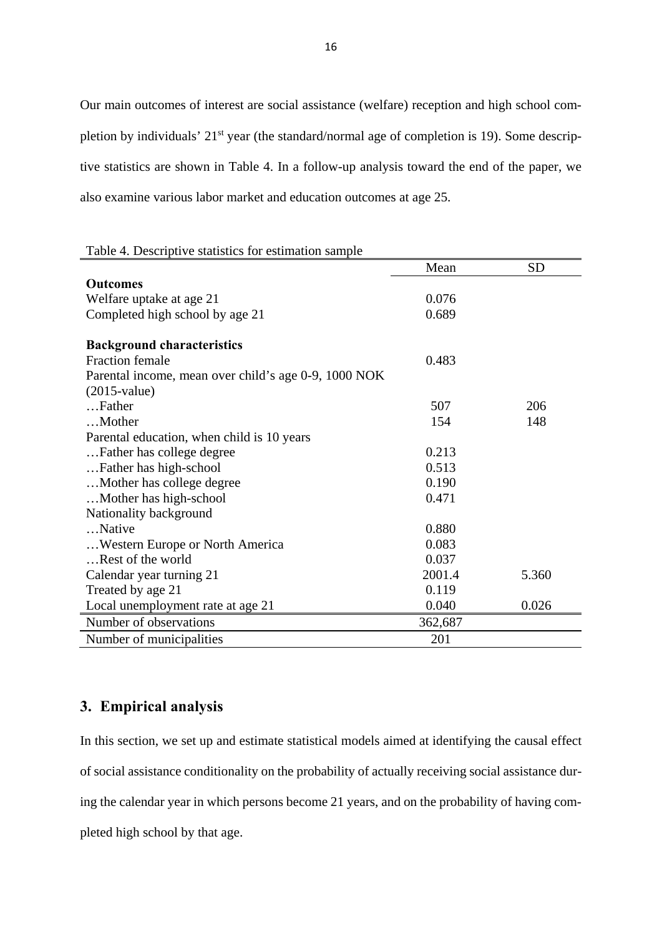Our main outcomes of interest are social assistance (welfare) reception and high school completion by individuals' 21<sup>st</sup> year (the standard/normal age of completion is 19). Some descriptive statistics are shown in Table 4. In a follow-up analysis toward the end of the paper, we also examine various labor market and education outcomes at age 25.

Table 4. Descriptive statistics for estimation sample

|                                                             | Mean    | <b>SD</b> |
|-------------------------------------------------------------|---------|-----------|
| <b>Outcomes</b>                                             |         |           |
| Welfare uptake at age 21                                    | 0.076   |           |
| Completed high school by age 21                             | 0.689   |           |
|                                                             |         |           |
| <b>Background characteristics</b><br><b>Fraction female</b> |         |           |
|                                                             | 0.483   |           |
| Parental income, mean over child's age 0-9, 1000 NOK        |         |           |
| $(2015$ -value)                                             |         |           |
| Father                                                      | 507     | 206       |
| Mother                                                      | 154     | 148       |
| Parental education, when child is 10 years                  |         |           |
| Father has college degree                                   | 0.213   |           |
| Father has high-school                                      | 0.513   |           |
| Mother has college degree                                   | 0.190   |           |
| Mother has high-school                                      | 0.471   |           |
| Nationality background                                      |         |           |
| Native                                                      | 0.880   |           |
| Western Europe or North America                             | 0.083   |           |
| Rest of the world                                           | 0.037   |           |
| Calendar year turning 21                                    | 2001.4  | 5.360     |
| Treated by age 21                                           | 0.119   |           |
| Local unemployment rate at age 21                           | 0.040   | 0.026     |
| Number of observations                                      | 362,687 |           |
| Number of municipalities                                    | 201     |           |

### **3. Empirical analysis**

In this section, we set up and estimate statistical models aimed at identifying the causal effect of social assistance conditionality on the probability of actually receiving social assistance during the calendar year in which persons become 21 years, and on the probability of having completed high school by that age.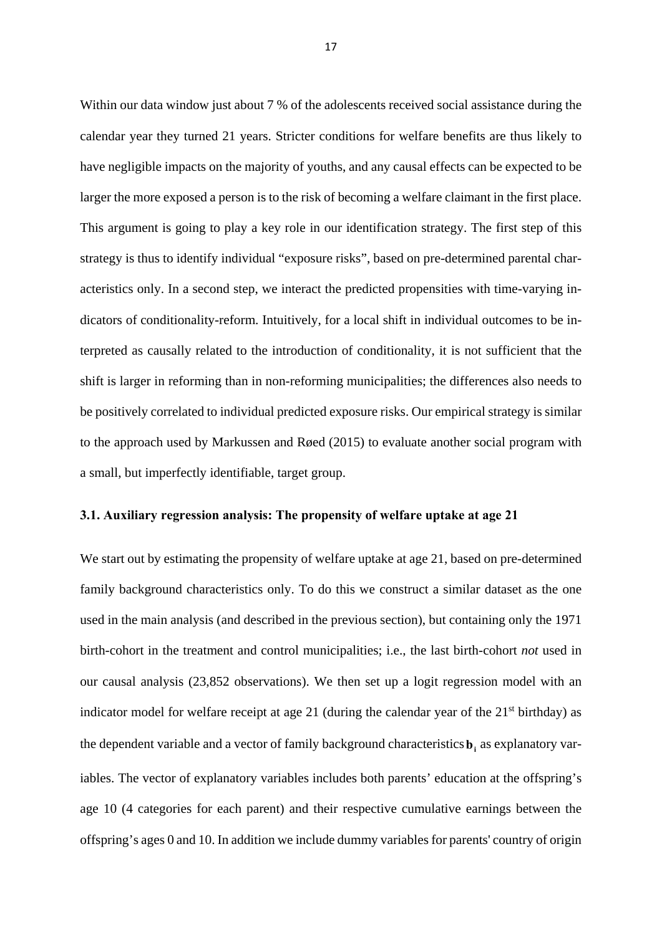Within our data window just about 7 % of the adolescents received social assistance during the calendar year they turned 21 years. Stricter conditions for welfare benefits are thus likely to have negligible impacts on the majority of youths, and any causal effects can be expected to be larger the more exposed a person is to the risk of becoming a welfare claimant in the first place. This argument is going to play a key role in our identification strategy. The first step of this strategy is thus to identify individual "exposure risks", based on pre-determined parental characteristics only. In a second step, we interact the predicted propensities with time-varying indicators of conditionality-reform. Intuitively, for a local shift in individual outcomes to be interpreted as causally related to the introduction of conditionality, it is not sufficient that the shift is larger in reforming than in non-reforming municipalities; the differences also needs to be positively correlated to individual predicted exposure risks. Our empirical strategy is similar to the approach used by Markussen and Røed (2015) to evaluate another social program with a small, but imperfectly identifiable, target group.

#### **3.1. Auxiliary regression analysis: The propensity of welfare uptake at age 21**

We start out by estimating the propensity of welfare uptake at age 21, based on pre-determined family background characteristics only. To do this we construct a similar dataset as the one used in the main analysis (and described in the previous section), but containing only the 1971 birth-cohort in the treatment and control municipalities; i.e., the last birth-cohort *not* used in our causal analysis (23,852 observations). We then set up a logit regression model with an indicator model for welfare receipt at age 21 (during the calendar year of the  $21<sup>st</sup>$  birthday) as the dependent variable and a vector of family background characteristics **b**<sub>i</sub> as explanatory variables. The vector of explanatory variables includes both parents' education at the offspring's age 10 (4 categories for each parent) and their respective cumulative earnings between the offspring's ages 0 and 10. In addition we include dummy variables for parents' country of origin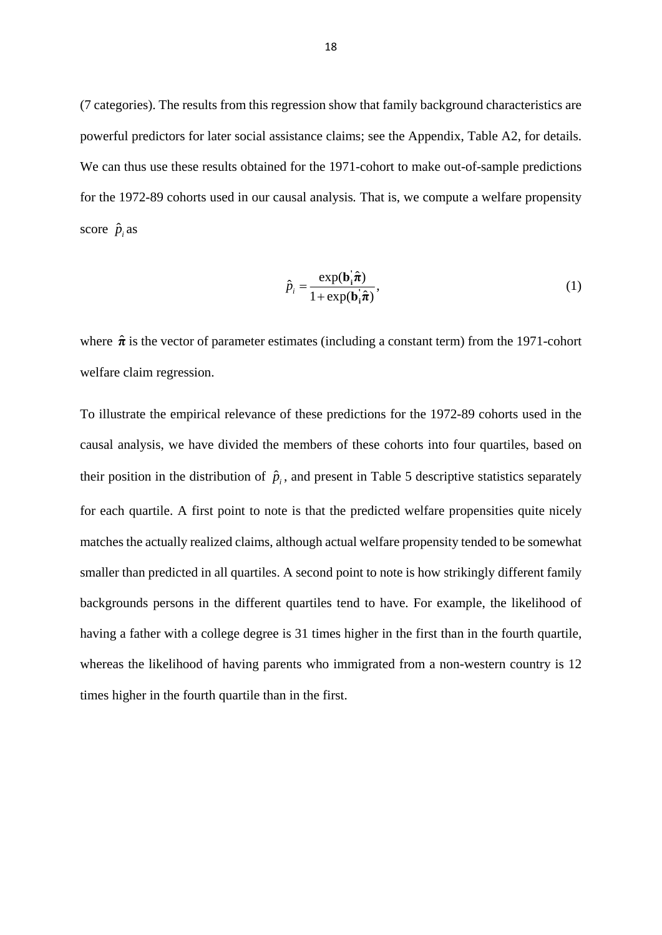(7 categories). The results from this regression show that family background characteristics are powerful predictors for later social assistance claims; see the Appendix, Table A2, for details. We can thus use these results obtained for the 1971-cohort to make out-of-sample predictions for the 1972-89 cohorts used in our causal analysis*.* That is, we compute a welfare propensity score  $\hat{p}_i$  as

$$
\hat{p}_i = \frac{\exp(\mathbf{b}_i \hat{\boldsymbol{\pi}})}{1 + \exp(\mathbf{b}_i \hat{\boldsymbol{\pi}})},
$$
\n(1)

where  $\hat{\pi}$  is the vector of parameter estimates (including a constant term) from the 1971-cohort welfare claim regression.

To illustrate the empirical relevance of these predictions for the 1972-89 cohorts used in the causal analysis, we have divided the members of these cohorts into four quartiles, based on their position in the distribution of  $\hat{p}_i$ , and present in Table 5 descriptive statistics separately for each quartile. A first point to note is that the predicted welfare propensities quite nicely matches the actually realized claims, although actual welfare propensity tended to be somewhat smaller than predicted in all quartiles. A second point to note is how strikingly different family backgrounds persons in the different quartiles tend to have. For example, the likelihood of having a father with a college degree is 31 times higher in the first than in the fourth quartile, whereas the likelihood of having parents who immigrated from a non-western country is 12 times higher in the fourth quartile than in the first.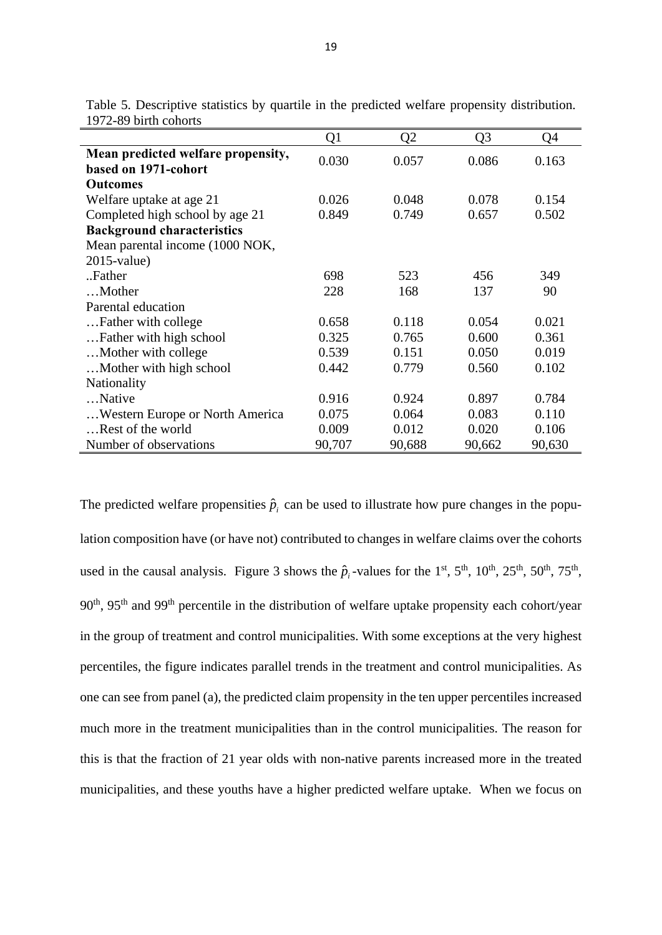|                                    | Q1     | Q2     | Q3     | Q4     |
|------------------------------------|--------|--------|--------|--------|
| Mean predicted welfare propensity, | 0.030  | 0.057  | 0.086  | 0.163  |
| based on 1971-cohort               |        |        |        |        |
| <b>Outcomes</b>                    |        |        |        |        |
| Welfare uptake at age 21           | 0.026  | 0.048  | 0.078  | 0.154  |
| Completed high school by age 21    | 0.849  | 0.749  | 0.657  | 0.502  |
| <b>Background characteristics</b>  |        |        |        |        |
| Mean parental income (1000 NOK,    |        |        |        |        |
| $2015$ -value)                     |        |        |        |        |
| Father                             | 698    | 523    | 456    | 349    |
| Mother                             | 228    | 168    | 137    | 90     |
| Parental education                 |        |        |        |        |
| Father with college                | 0.658  | 0.118  | 0.054  | 0.021  |
| Father with high school            | 0.325  | 0.765  | 0.600  | 0.361  |
| Mother with college                | 0.539  | 0.151  | 0.050  | 0.019  |
| Mother with high school            | 0.442  | 0.779  | 0.560  | 0.102  |
| Nationality                        |        |        |        |        |
| Native                             | 0.916  | 0.924  | 0.897  | 0.784  |
| Western Europe or North America    | 0.075  | 0.064  | 0.083  | 0.110  |
| Rest of the world                  | 0.009  | 0.012  | 0.020  | 0.106  |
| Number of observations             | 90,707 | 90,688 | 90,662 | 90,630 |

Table 5. Descriptive statistics by quartile in the predicted welfare propensity distribution. 1972-89 birth cohorts

The predicted welfare propensities  $\hat{p}_i$  can be used to illustrate how pure changes in the population composition have (or have not) contributed to changes in welfare claims over the cohorts used in the causal analysis. Figure 3 shows the  $\hat{p}_i$ -values for the 1<sup>st</sup>, 5<sup>th</sup>, 10<sup>th</sup>, 25<sup>th</sup>, 50<sup>th</sup>, 75<sup>th</sup>, 90<sup>th</sup>, 95<sup>th</sup> and 99<sup>th</sup> percentile in the distribution of welfare uptake propensity each cohort/year in the group of treatment and control municipalities. With some exceptions at the very highest percentiles, the figure indicates parallel trends in the treatment and control municipalities. As one can see from panel (a), the predicted claim propensity in the ten upper percentiles increased much more in the treatment municipalities than in the control municipalities. The reason for this is that the fraction of 21 year olds with non-native parents increased more in the treated municipalities, and these youths have a higher predicted welfare uptake. When we focus on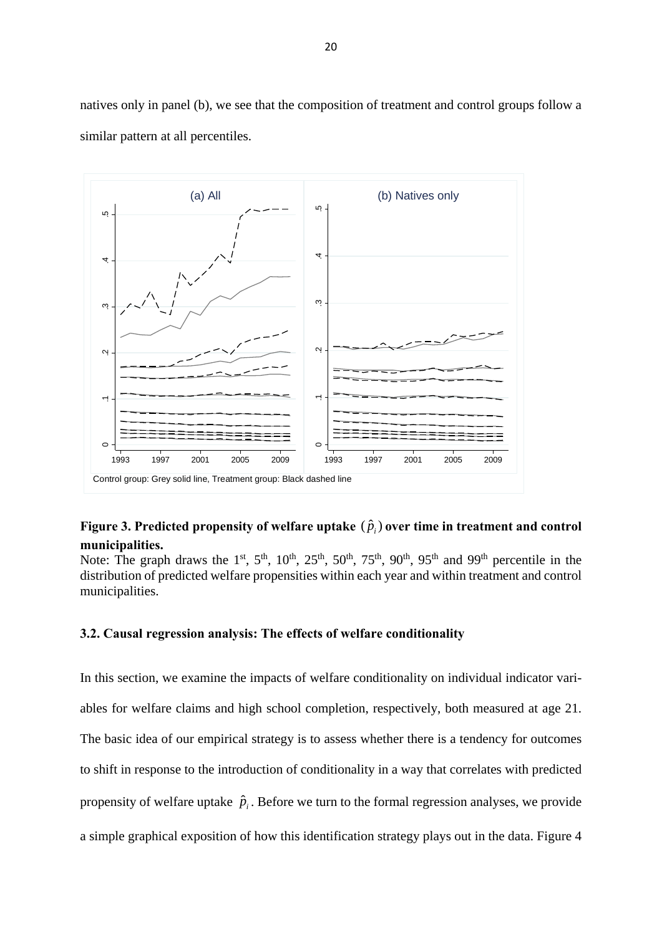natives only in panel (b), we see that the composition of treatment and control groups follow a similar pattern at all percentiles.



### **Figure 3. Predicted propensity of welfare uptake**  $(\hat{p}_i)$  **over time in treatment and control municipalities.**

Note: The graph draws the 1<sup>st</sup>, 5<sup>th</sup>, 10<sup>th</sup>, 25<sup>th</sup>, 50<sup>th</sup>, 75<sup>th</sup>, 90<sup>th</sup>, 95<sup>th</sup> and 99<sup>th</sup> percentile in the distribution of predicted welfare propensities within each year and within treatment and control municipalities.

#### **3.2. Causal regression analysis: The effects of welfare conditionality**

In this section, we examine the impacts of welfare conditionality on individual indicator variables for welfare claims and high school completion, respectively, both measured at age 21. The basic idea of our empirical strategy is to assess whether there is a tendency for outcomes to shift in response to the introduction of conditionality in a way that correlates with predicted propensity of welfare uptake  $\hat{p}_i$ . Before we turn to the formal regression analyses, we provide a simple graphical exposition of how this identification strategy plays out in the data. Figure 4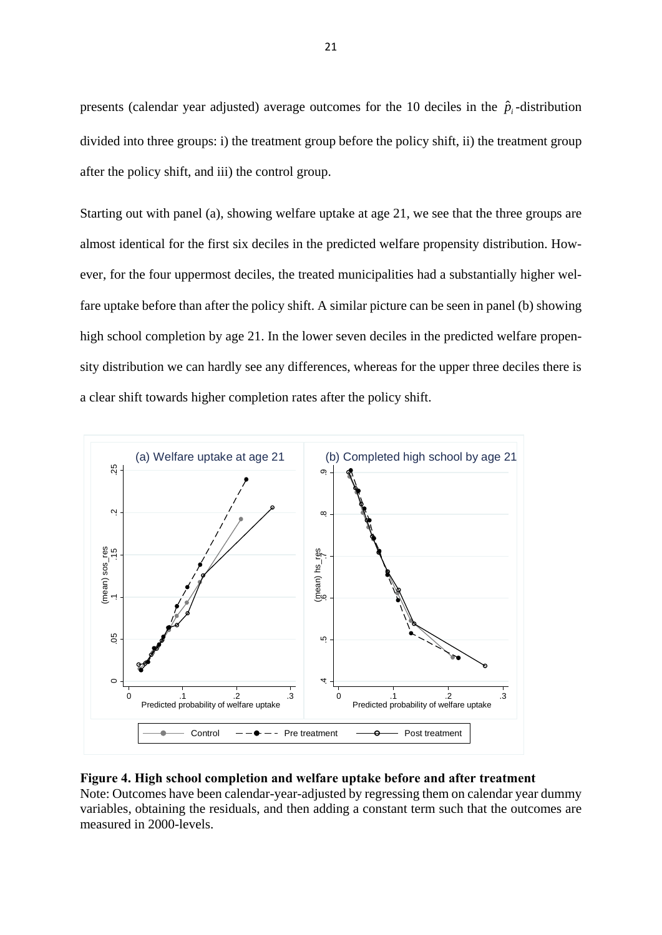presents (calendar year adjusted) average outcomes for the 10 deciles in the  $\hat{p}_i$ -distribution divided into three groups: i) the treatment group before the policy shift, ii) the treatment group after the policy shift, and iii) the control group.

Starting out with panel (a), showing welfare uptake at age 21, we see that the three groups are almost identical for the first six deciles in the predicted welfare propensity distribution. However, for the four uppermost deciles, the treated municipalities had a substantially higher welfare uptake before than after the policy shift. A similar picture can be seen in panel (b) showing high school completion by age 21. In the lower seven deciles in the predicted welfare propensity distribution we can hardly see any differences, whereas for the upper three deciles there is a clear shift towards higher completion rates after the policy shift.



#### **Figure 4. High school completion and welfare uptake before and after treatment**

Note: Outcomes have been calendar-year-adjusted by regressing them on calendar year dummy variables, obtaining the residuals, and then adding a constant term such that the outcomes are measured in 2000-levels.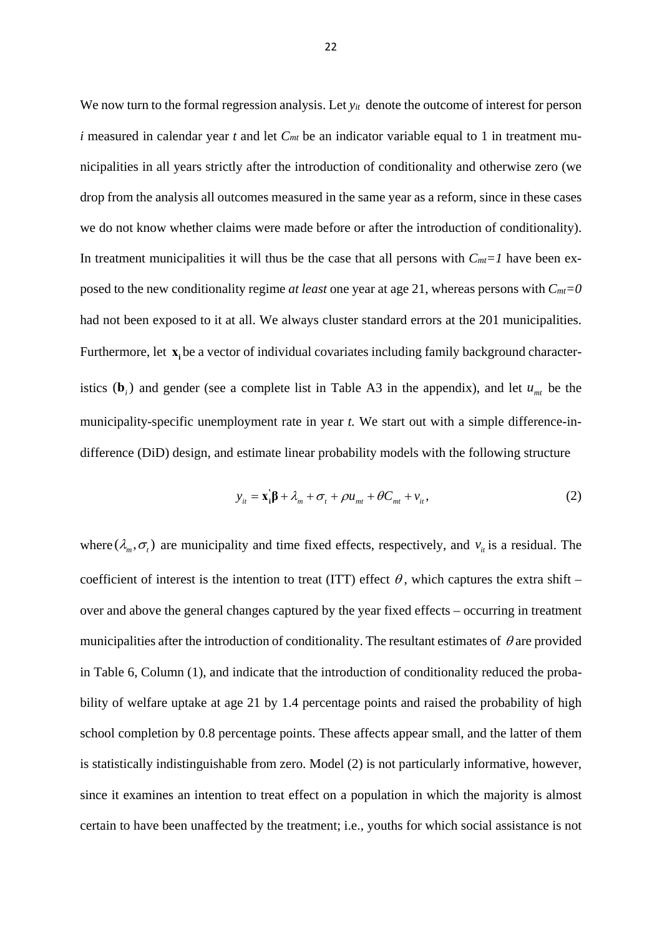We now turn to the formal regression analysis. Let  $y_{it}$  denote the outcome of interest for person *i* measured in calendar year *t* and let  $C<sub>mt</sub>$  be an indicator variable equal to 1 in treatment municipalities in all years strictly after the introduction of conditionality and otherwise zero (we drop from the analysis all outcomes measured in the same year as a reform, since in these cases we do not know whether claims were made before or after the introduction of conditionality). In treatment municipalities it will thus be the case that all persons with  $C_{mt}=1$  have been exposed to the new conditionality regime *at least* one year at age 21, whereas persons with *Cmt=0* had not been exposed to it at all. We always cluster standard errors at the 201 municipalities. Furthermore, let **x**, be a vector of individual covariates including family background characteristics ( $\mathbf{b}_i$ ) and gender (see a complete list in Table A3 in the appendix), and let  $u_{mt}$  be the municipality-specific unemployment rate in year *t.* We start out with a simple difference-indifference (DiD) design, and estimate linear probability models with the following structure

$$
y_{it} = \mathbf{x}_i^{\mathsf{T}} \boldsymbol{\beta} + \lambda_m + \sigma_t + \rho u_{mt} + \theta C_{mt} + v_{it}, \qquad (2)
$$

where  $(\lambda_m, \sigma_t)$  are municipality and time fixed effects, respectively, and  $v_i$  is a residual. The coefficient of interest is the intention to treat (ITT) effect  $\theta$ , which captures the extra shift – over and above the general changes captured by the year fixed effects – occurring in treatment municipalities after the introduction of conditionality. The resultant estimates of  $\theta$  are provided in Table 6, Column (1), and indicate that the introduction of conditionality reduced the probability of welfare uptake at age 21 by 1.4 percentage points and raised the probability of high school completion by 0.8 percentage points. These affects appear small, and the latter of them is statistically indistinguishable from zero. Model (2) is not particularly informative, however, since it examines an intention to treat effect on a population in which the majority is almost certain to have been unaffected by the treatment; i.e., youths for which social assistance is not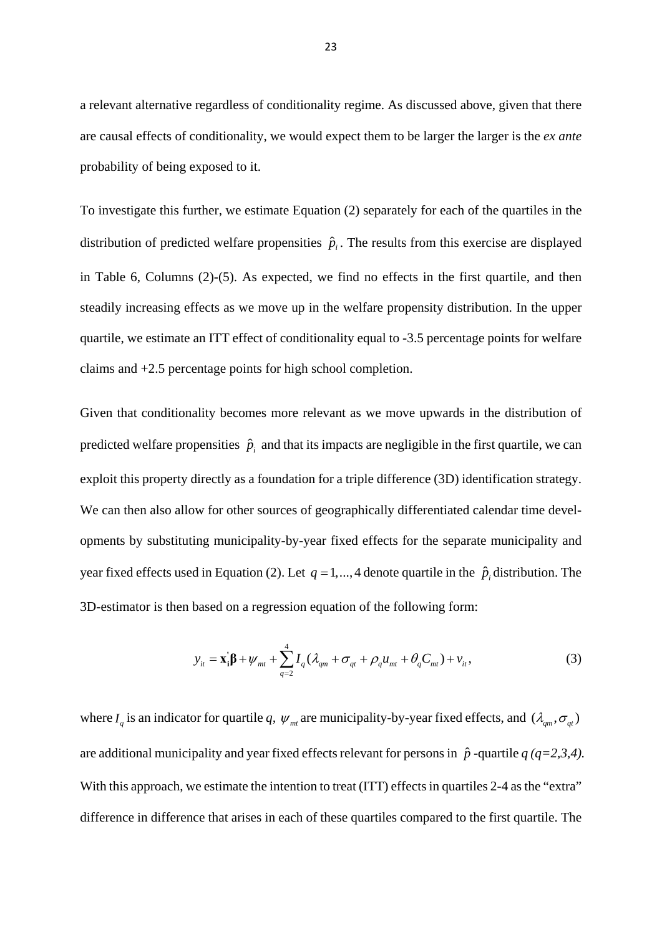a relevant alternative regardless of conditionality regime. As discussed above, given that there are causal effects of conditionality, we would expect them to be larger the larger is the *ex ante* probability of being exposed to it.

To investigate this further, we estimate Equation (2) separately for each of the quartiles in the distribution of predicted welfare propensities  $\hat{p}_i$ . The results from this exercise are displayed in Table 6, Columns (2)-(5). As expected, we find no effects in the first quartile, and then steadily increasing effects as we move up in the welfare propensity distribution. In the upper quartile, we estimate an ITT effect of conditionality equal to -3.5 percentage points for welfare claims and +2.5 percentage points for high school completion.

Given that conditionality becomes more relevant as we move upwards in the distribution of predicted welfare propensities  $\hat{p}_i$  and that its impacts are negligible in the first quartile, we can exploit this property directly as a foundation for a triple difference (3D) identification strategy. We can then also allow for other sources of geographically differentiated calendar time developments by substituting municipality-by-year fixed effects for the separate municipality and year fixed effects used in Equation (2). Let  $q = 1, \ldots, 4$  denote quartile in the  $\hat{p}_i$  distribution. The 3D-estimator is then based on a regression equation of the following form:

$$
y_{it} = \mathbf{x}_{i}'\mathbf{\beta} + \psi_{mt} + \sum_{q=2}^{4} I_{q} (\lambda_{qm} + \sigma_{qt} + \rho_{q} u_{mt} + \theta_{q} C_{mt}) + v_{it},
$$
\n(3)

where  $I_q$  is an indicator for quartile q,  $\psi_m$  are municipality-by-year fixed effects, and  $(\lambda_{qm}, \sigma_q)$ are additional municipality and year fixed effects relevant for persons in  $\hat{p}$  -quartile  $q (q=2,3,4)$ . With this approach, we estimate the intention to treat (ITT) effects in quartiles 2-4 as the "extra" difference in difference that arises in each of these quartiles compared to the first quartile. The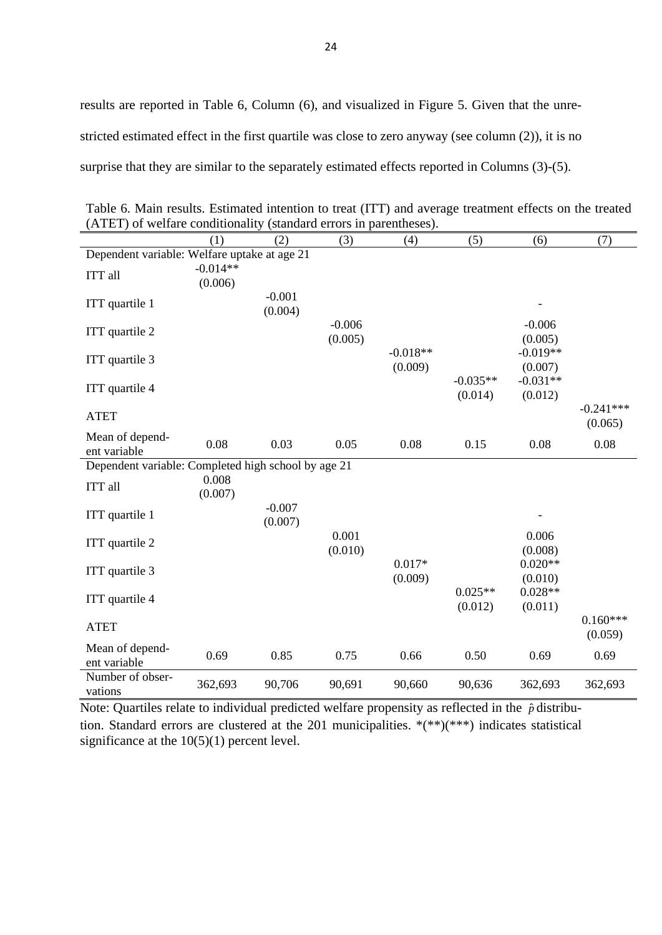|                                                     | (1)                   | (2)                 | (3)                 | (4)                   | (5)                   | (6)                   | (7)                    |
|-----------------------------------------------------|-----------------------|---------------------|---------------------|-----------------------|-----------------------|-----------------------|------------------------|
| Dependent variable: Welfare uptake at age 21        |                       |                     |                     |                       |                       |                       |                        |
| ITT all                                             | $-0.014**$<br>(0.006) |                     |                     |                       |                       |                       |                        |
| ITT quartile 1                                      |                       | $-0.001$<br>(0.004) |                     |                       |                       |                       |                        |
| ITT quartile 2                                      |                       |                     | $-0.006$<br>(0.005) |                       |                       | $-0.006$<br>(0.005)   |                        |
| ITT quartile 3                                      |                       |                     |                     | $-0.018**$<br>(0.009) |                       | $-0.019**$<br>(0.007) |                        |
| ITT quartile 4                                      |                       |                     |                     |                       | $-0.035**$<br>(0.014) | $-0.031**$<br>(0.012) |                        |
| <b>ATET</b>                                         |                       |                     |                     |                       |                       |                       | $-0.241***$<br>(0.065) |
| Mean of depend-<br>ent variable                     | 0.08                  | 0.03                | 0.05                | 0.08                  | 0.15                  | 0.08                  | 0.08                   |
| Dependent variable: Completed high school by age 21 |                       |                     |                     |                       |                       |                       |                        |
| ITT all                                             | 0.008<br>(0.007)      |                     |                     |                       |                       |                       |                        |
| ITT quartile 1                                      |                       | $-0.007$<br>(0.007) |                     |                       |                       |                       |                        |
| ITT quartile 2                                      |                       |                     | 0.001<br>(0.010)    |                       |                       | 0.006<br>(0.008)      |                        |
| ITT quartile 3                                      |                       |                     |                     | $0.017*$<br>(0.009)   |                       | $0.020**$<br>(0.010)  |                        |
| ITT quartile 4                                      |                       |                     |                     |                       | $0.025**$<br>(0.012)  | $0.028**$<br>(0.011)  |                        |
| <b>ATET</b>                                         |                       |                     |                     |                       |                       |                       | $0.160***$<br>(0.059)  |
| Mean of depend-<br>ent variable                     | 0.69                  | 0.85                | 0.75                | 0.66                  | 0.50                  | 0.69                  | 0.69                   |
| Number of obser-<br>vations                         | 362,693               | 90,706              | 90,691              | 90,660                | 90,636                | 362,693               | 362,693                |

Table 6. Main results. Estimated intention to treat (ITT) and average treatment effects on the treated (ATET) of welfare conditionality (standard errors in parentheses).

Note: Quartiles relate to individual predicted welfare propensity as reflected in the  $\hat{p}$  distribution. Standard errors are clustered at the 201 municipalities. \*(\*\*)(\*\*\*) indicates statistical significance at the  $10(5)(1)$  percent level.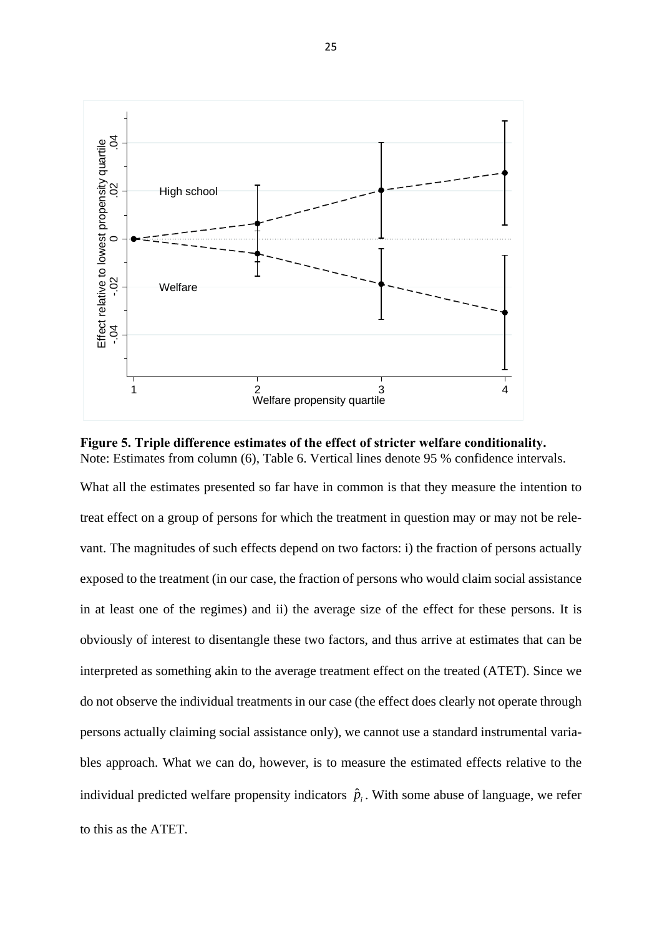

**Figure 5. Triple difference estimates of the effect of stricter welfare conditionality.** Note: Estimates from column (6), Table 6. Vertical lines denote 95 % confidence intervals.

What all the estimates presented so far have in common is that they measure the intention to treat effect on a group of persons for which the treatment in question may or may not be relevant. The magnitudes of such effects depend on two factors: i) the fraction of persons actually exposed to the treatment (in our case, the fraction of persons who would claim social assistance in at least one of the regimes) and ii) the average size of the effect for these persons. It is obviously of interest to disentangle these two factors, and thus arrive at estimates that can be interpreted as something akin to the average treatment effect on the treated (ATET). Since we do not observe the individual treatments in our case (the effect does clearly not operate through persons actually claiming social assistance only), we cannot use a standard instrumental variables approach. What we can do, however, is to measure the estimated effects relative to the individual predicted welfare propensity indicators  $\hat{p}_i$ . With some abuse of language, we refer to this as the ATET.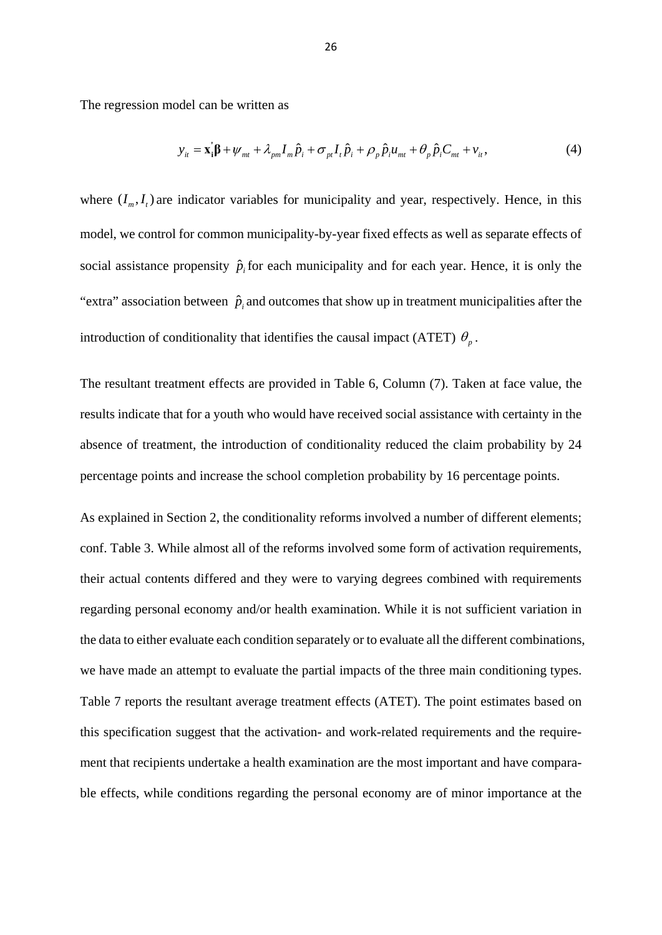The regression model can be written as

$$
y_{it} = \mathbf{x}_i' \mathbf{\beta} + \psi_{mt} + \lambda_{pm} I_m \hat{p}_i + \sigma_{pt} I_t \hat{p}_i + \rho_p \hat{p}_i u_{mt} + \theta_p \hat{p}_i C_{mt} + v_{it}, \tag{4}
$$

where  $(I_m, I_t)$  are indicator variables for municipality and year, respectively. Hence, in this model, we control for common municipality-by-year fixed effects as well as separate effects of social assistance propensity  $\hat{p}_i$  for each municipality and for each year. Hence, it is only the "extra" association between  $\hat{p}_i$  and outcomes that show up in treatment municipalities after the introduction of conditionality that identifies the causal impact (ATET)  $\theta_n$ .

The resultant treatment effects are provided in Table 6, Column (7). Taken at face value, the results indicate that for a youth who would have received social assistance with certainty in the absence of treatment, the introduction of conditionality reduced the claim probability by 24 percentage points and increase the school completion probability by 16 percentage points.

As explained in Section 2, the conditionality reforms involved a number of different elements; conf. Table 3. While almost all of the reforms involved some form of activation requirements, their actual contents differed and they were to varying degrees combined with requirements regarding personal economy and/or health examination. While it is not sufficient variation in the data to either evaluate each condition separately or to evaluate all the different combinations, we have made an attempt to evaluate the partial impacts of the three main conditioning types. Table 7 reports the resultant average treatment effects (ATET). The point estimates based on this specification suggest that the activation- and work-related requirements and the requirement that recipients undertake a health examination are the most important and have comparable effects, while conditions regarding the personal economy are of minor importance at the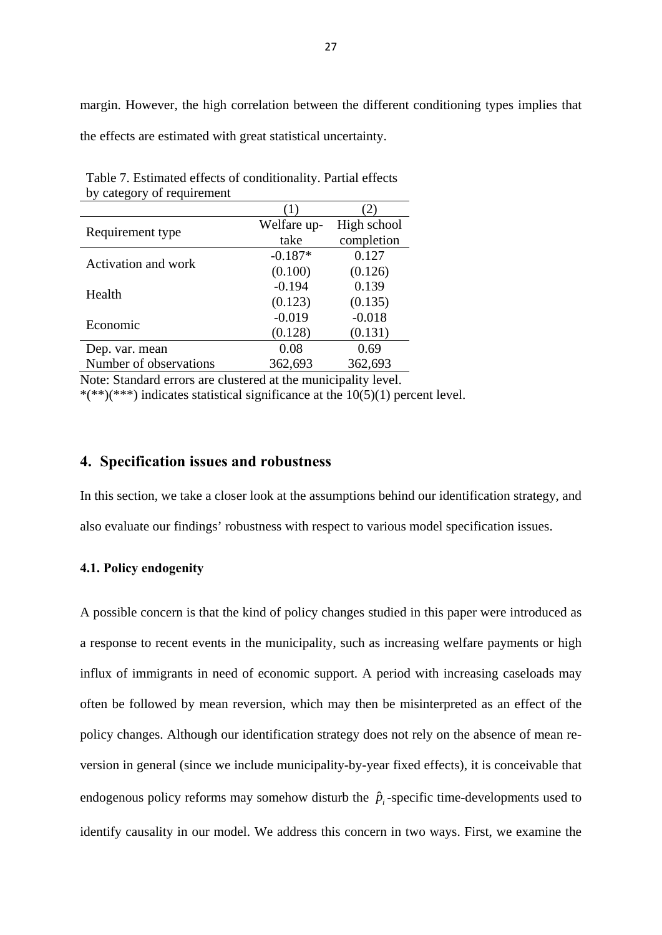margin. However, the high correlation between the different conditioning types implies that the effects are estimated with great statistical uncertainty.

| Requirement type       | Welfare up- | High school |
|------------------------|-------------|-------------|
|                        | take        | completion  |
| Activation and work    | $-0.187*$   | 0.127       |
|                        | (0.100)     | (0.126)     |
| Health                 | $-0.194$    | 0.139       |
|                        | (0.123)     | (0.135)     |
| Economic               | $-0.019$    | $-0.018$    |
|                        | (0.128)     | (0.131)     |
| Dep. var. mean         | 0.08        | 0.69        |
| Number of observations | 362,693     | 362,693     |

Table 7. Estimated effects of conditionality. Partial effects by category of requirement

Note: Standard errors are clustered at the municipality level. \*(\*\*)(\*\*\*) indicates statistical significance at the  $10(5)(1)$  percent level.

#### **4. Specification issues and robustness**

In this section, we take a closer look at the assumptions behind our identification strategy, and also evaluate our findings' robustness with respect to various model specification issues.

#### **4.1. Policy endogenity**

A possible concern is that the kind of policy changes studied in this paper were introduced as a response to recent events in the municipality, such as increasing welfare payments or high influx of immigrants in need of economic support. A period with increasing caseloads may often be followed by mean reversion, which may then be misinterpreted as an effect of the policy changes. Although our identification strategy does not rely on the absence of mean reversion in general (since we include municipality-by-year fixed effects), it is conceivable that endogenous policy reforms may somehow disturb the  $\hat{p}_i$ -specific time-developments used to identify causality in our model. We address this concern in two ways. First, we examine the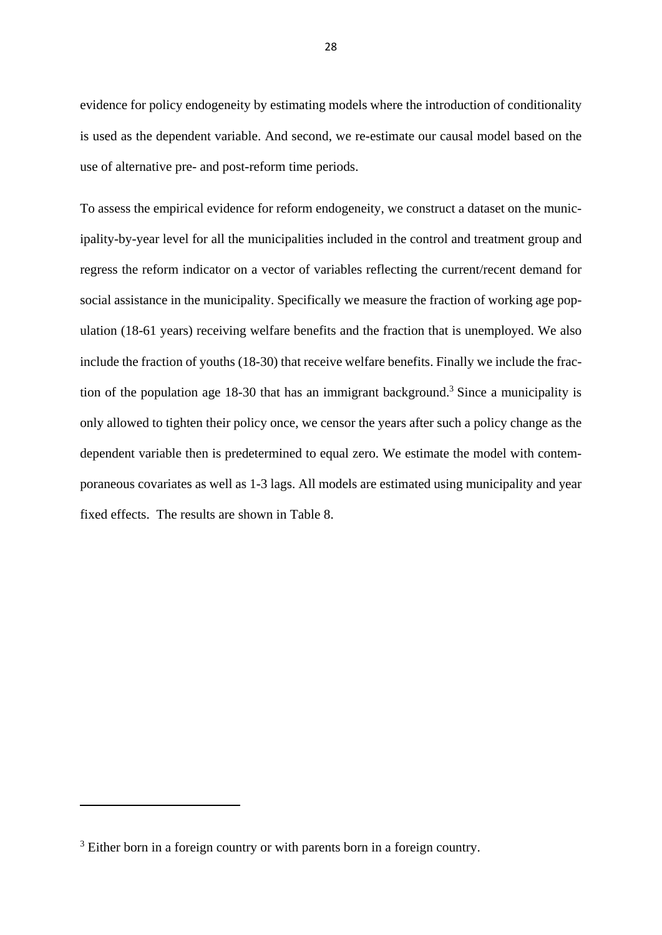evidence for policy endogeneity by estimating models where the introduction of conditionality is used as the dependent variable. And second, we re-estimate our causal model based on the use of alternative pre- and post-reform time periods.

To assess the empirical evidence for reform endogeneity, we construct a dataset on the municipality-by-year level for all the municipalities included in the control and treatment group and regress the reform indicator on a vector of variables reflecting the current/recent demand for social assistance in the municipality. Specifically we measure the fraction of working age population (18-61 years) receiving welfare benefits and the fraction that is unemployed. We also include the fraction of youths (18-30) that receive welfare benefits. Finally we include the fraction of the population age  $18-30$  that has an immigrant background.<sup>3</sup> Since a municipality is only allowed to tighten their policy once, we censor the years after such a policy change as the dependent variable then is predetermined to equal zero. We estimate the model with contemporaneous covariates as well as 1-3 lags. All models are estimated using municipality and year fixed effects. The results are shown in Table 8.

<sup>&</sup>lt;sup>3</sup> Either born in a foreign country or with parents born in a foreign country.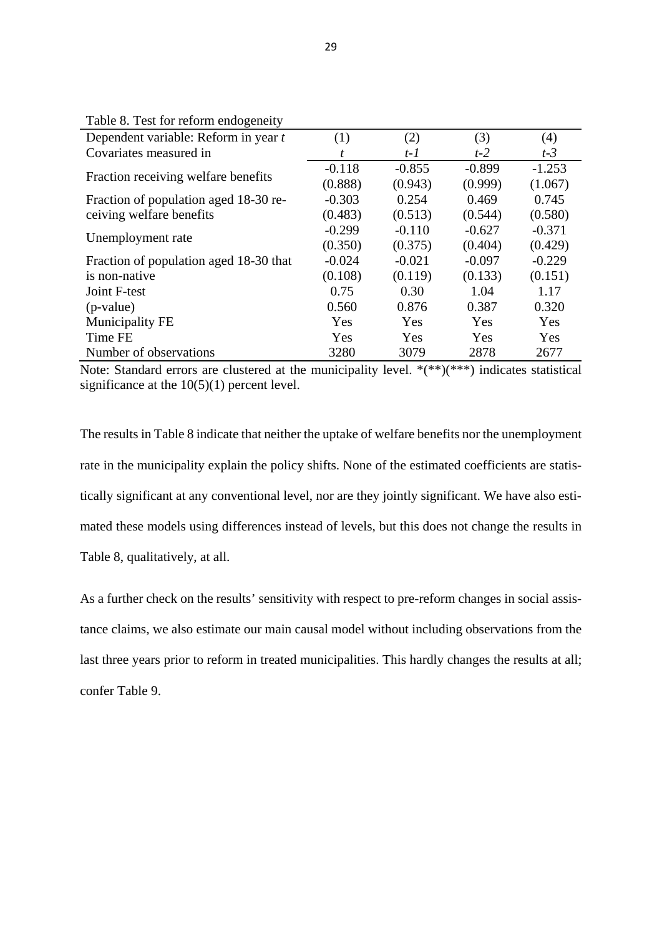| radio 6. Fest for reform endogeneity   |          |          |          |          |
|----------------------------------------|----------|----------|----------|----------|
| Dependent variable: Reform in year t   | (1)      | (2)      | (3)      | (4)      |
| Covariates measured in                 |          | $t-1$    | $t-2$    | $t-3$    |
|                                        | $-0.118$ | $-0.855$ | $-0.899$ | $-1.253$ |
| Fraction receiving welfare benefits    | (0.888)  | (0.943)  | (0.999)  | (1.067)  |
| Fraction of population aged 18-30 re-  | $-0.303$ | 0.254    | 0.469    | 0.745    |
| ceiving welfare benefits               | (0.483)  | (0.513)  | (0.544)  | (0.580)  |
| Unemployment rate                      | $-0.299$ | $-0.110$ | $-0.627$ | $-0.371$ |
|                                        | (0.350)  | (0.375)  | (0.404)  | (0.429)  |
| Fraction of population aged 18-30 that | $-0.024$ | $-0.021$ | $-0.097$ | $-0.229$ |
| is non-native                          | (0.108)  | (0.119)  | (0.133)  | (0.151)  |
| Joint F-test                           | 0.75     | 0.30     | 1.04     | 1.17     |
| $(p-value)$                            | 0.560    | 0.876    | 0.387    | 0.320    |
| Municipality FE                        | Yes      | Yes      | Yes      | Yes      |
| <b>Time FE</b>                         | Yes      | Yes      | Yes      | Yes      |
| Number of observations                 | 3280     | 3079     | 2878     | 2677     |

Table 8. Test for reform endogeneity

Note: Standard errors are clustered at the municipality level. \*(\*\*)(\*\*\*) indicates statistical significance at the  $10(5)(1)$  percent level.

The results in Table 8 indicate that neither the uptake of welfare benefits nor the unemployment rate in the municipality explain the policy shifts. None of the estimated coefficients are statistically significant at any conventional level, nor are they jointly significant. We have also estimated these models using differences instead of levels, but this does not change the results in Table 8, qualitatively, at all.

As a further check on the results' sensitivity with respect to pre-reform changes in social assistance claims, we also estimate our main causal model without including observations from the last three years prior to reform in treated municipalities. This hardly changes the results at all; confer Table 9.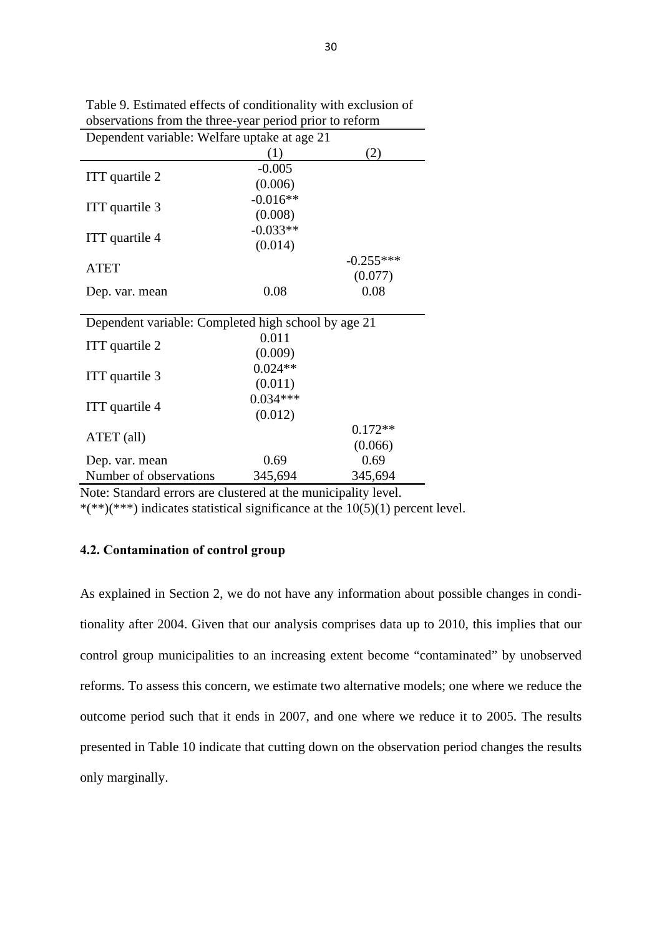| Dependent variable: Welfare uptake at age 21        |            |             |  |  |
|-----------------------------------------------------|------------|-------------|--|--|
|                                                     | (1)        | (2)         |  |  |
|                                                     | $-0.005$   |             |  |  |
| ITT quartile 2                                      | (0.006)    |             |  |  |
|                                                     | $-0.016**$ |             |  |  |
| ITT quartile 3                                      | (0.008)    |             |  |  |
|                                                     | $-0.033**$ |             |  |  |
| ITT quartile 4                                      | (0.014)    |             |  |  |
|                                                     |            | $-0.255***$ |  |  |
| <b>ATET</b>                                         |            | (0.077)     |  |  |
| Dep. var. mean                                      | 0.08       | 0.08        |  |  |
|                                                     |            |             |  |  |
| Dependent variable: Completed high school by age 21 |            |             |  |  |
|                                                     | 0.011      |             |  |  |
| ITT quartile 2                                      | (0.009)    |             |  |  |
|                                                     | $0.024**$  |             |  |  |
| ITT quartile 3                                      | (0.011)    |             |  |  |
|                                                     | $0.034***$ |             |  |  |
| ITT quartile 4                                      | (0.012)    |             |  |  |
|                                                     |            | $0.172**$   |  |  |
| ATET (all)                                          |            | (0.066)     |  |  |
| Dep. var. mean                                      | 0.69       | 0.69        |  |  |
| Number of observations                              | 345,694    | 345,694     |  |  |

Table 9. Estimated effects of conditionality with exclusion of observations from the three-year period prior to reform

Note: Standard errors are clustered at the municipality level.

\*(\*\*)(\*\*\*) indicates statistical significance at the 10(5)(1) percent level.

#### **4.2. Contamination of control group**

As explained in Section 2, we do not have any information about possible changes in conditionality after 2004. Given that our analysis comprises data up to 2010, this implies that our control group municipalities to an increasing extent become "contaminated" by unobserved reforms. To assess this concern, we estimate two alternative models; one where we reduce the outcome period such that it ends in 2007, and one where we reduce it to 2005. The results presented in Table 10 indicate that cutting down on the observation period changes the results only marginally.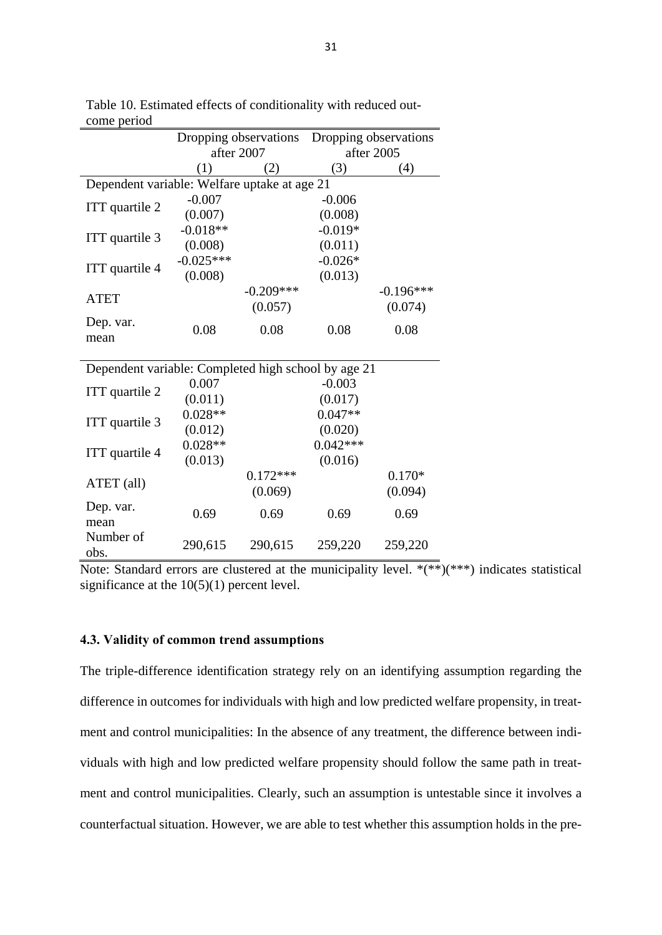|                                                     | Dropping observations |             | Dropping observations |             |  |
|-----------------------------------------------------|-----------------------|-------------|-----------------------|-------------|--|
|                                                     | after 2007            |             |                       | after 2005  |  |
|                                                     | (1)                   | (2)         | (3)                   | (4)         |  |
| Dependent variable: Welfare uptake at age 21        |                       |             |                       |             |  |
| ITT quartile 2                                      | $-0.007$              |             | $-0.006$              |             |  |
|                                                     | (0.007)               |             | (0.008)               |             |  |
| ITT quartile 3                                      | $-0.018**$            |             | $-0.019*$             |             |  |
|                                                     | (0.008)               |             | (0.011)               |             |  |
| ITT quartile 4                                      | $-0.025***$           |             | $-0.026*$             |             |  |
|                                                     | (0.008)               |             | (0.013)               |             |  |
| <b>ATET</b>                                         |                       | $-0.209***$ |                       | $-0.196***$ |  |
|                                                     |                       | (0.057)     |                       | (0.074)     |  |
| Dep. var.<br>mean                                   | 0.08                  | 0.08        | 0.08                  | 0.08        |  |
|                                                     |                       |             |                       |             |  |
| Dependent variable: Completed high school by age 21 |                       |             |                       |             |  |
|                                                     | 0.007                 |             | $-0.003$              |             |  |
| ITT quartile 2                                      | (0.011)               |             | (0.017)               |             |  |
|                                                     | $0.028**$             |             | $0.047**$             |             |  |
| ITT quartile 3                                      | (0.012)               |             | (0.020)               |             |  |
|                                                     | $0.028**$             |             | $0.042***$            |             |  |
| ITT quartile 4                                      | (0.013)               |             | (0.016)               |             |  |
|                                                     |                       | $0.172***$  |                       | $0.170*$    |  |
| ATET (all)                                          |                       | (0.069)     |                       | (0.094)     |  |
| Dep. var.                                           | 0.69                  | 0.69        | 0.69                  | 0.69        |  |
| mean                                                |                       |             |                       |             |  |
| Number of<br>obs.                                   | 290,615               | 290,615     | 259,220               | 259,220     |  |

Table 10. Estimated effects of conditionality with reduced outcome period

Note: Standard errors are clustered at the municipality level.  $*(**)(***)$  indicates statistical significance at the  $10(5)(1)$  percent level.

#### **4.3. Validity of common trend assumptions**

The triple-difference identification strategy rely on an identifying assumption regarding the difference in outcomes for individuals with high and low predicted welfare propensity, in treatment and control municipalities: In the absence of any treatment, the difference between individuals with high and low predicted welfare propensity should follow the same path in treatment and control municipalities. Clearly, such an assumption is untestable since it involves a counterfactual situation. However, we are able to test whether this assumption holds in the pre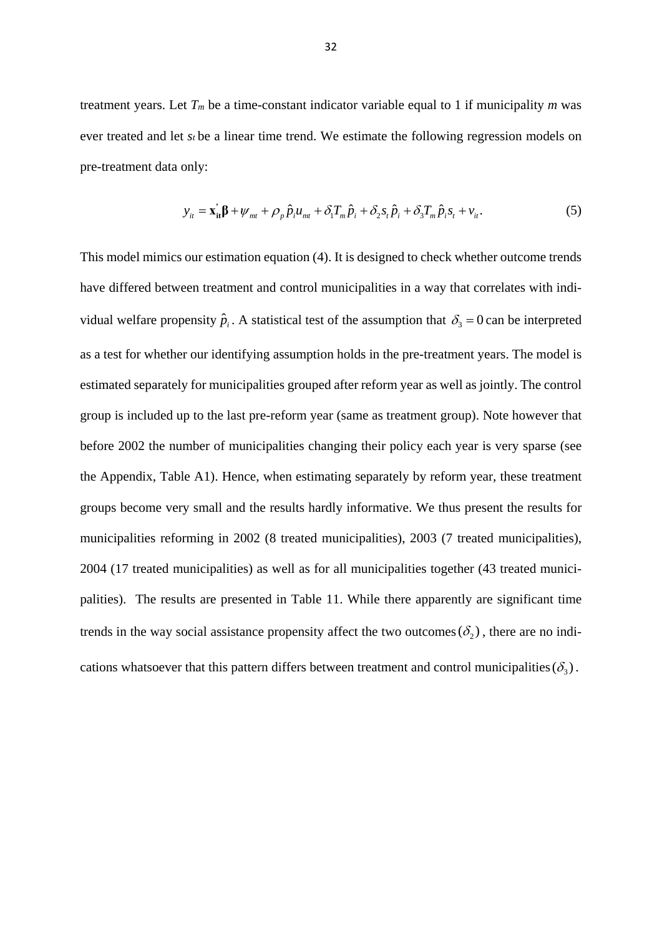treatment years. Let  $T_m$  be a time-constant indicator variable equal to 1 if municipality  $m$  was ever treated and let *st* be a linear time trend. We estimate the following regression models on pre-treatment data only:

$$
y_{it} = \mathbf{x}_{it}^{\dagger} \boldsymbol{\beta} + \boldsymbol{\psi}_{mt} + \rho_p \hat{p}_i u_{mt} + \delta_1 T_m \hat{p}_i + \delta_2 s_t \hat{p}_i + \delta_3 T_m \hat{p}_i s_t + v_{it}.
$$
 (5)

This model mimics our estimation equation (4). It is designed to check whether outcome trends have differed between treatment and control municipalities in a way that correlates with individual welfare propensity  $\hat{p}_i$ . A statistical test of the assumption that  $\delta_3 = 0$  can be interpreted as a test for whether our identifying assumption holds in the pre-treatment years. The model is estimated separately for municipalities grouped after reform year as well as jointly. The control group is included up to the last pre-reform year (same as treatment group). Note however that before 2002 the number of municipalities changing their policy each year is very sparse (see the Appendix, Table A1). Hence, when estimating separately by reform year, these treatment groups become very small and the results hardly informative. We thus present the results for municipalities reforming in 2002 (8 treated municipalities), 2003 (7 treated municipalities), 2004 (17 treated municipalities) as well as for all municipalities together (43 treated municipalities). The results are presented in Table 11. While there apparently are significant time trends in the way social assistance propensity affect the two outcomes  $(\delta_2)$ , there are no indications whatsoever that this pattern differs between treatment and control municipalities  $(\delta_3)$ .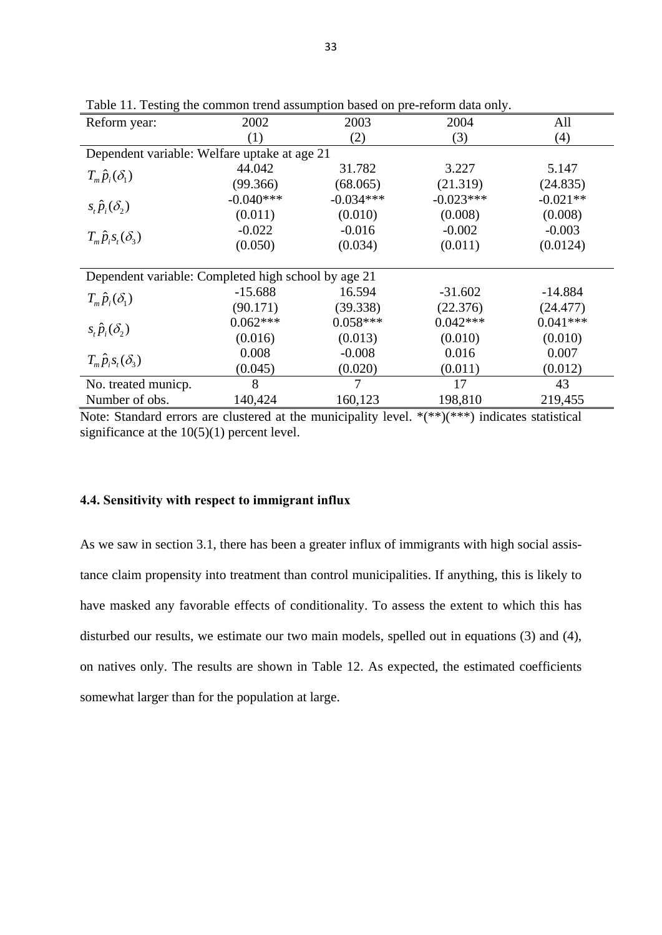| Reform year:                                        | 2002        | 2003        | 2004        | All        |
|-----------------------------------------------------|-------------|-------------|-------------|------------|
|                                                     | (1)         | (2)         | (3)         | (4)        |
| Dependent variable: Welfare uptake at age 21        |             |             |             |            |
| $T_m \hat{p}_{i}(\delta_1)$                         | 44.042      | 31.782      | 3.227       | 5.147      |
|                                                     | (99.366)    | (68.065)    | (21.319)    | (24.835)   |
| $s_i \hat{p}_i(\delta)$                             | $-0.040***$ | $-0.034***$ | $-0.023***$ | $-0.021**$ |
|                                                     | (0.011)     | (0.010)     | (0.008)     | (0.008)    |
|                                                     | $-0.022$    | $-0.016$    | $-0.002$    | $-0.003$   |
| $T_m \hat{p}_i s_i(\delta_3)$                       | (0.050)     | (0.034)     | (0.011)     | (0.0124)   |
|                                                     |             |             |             |            |
| Dependent variable: Completed high school by age 21 |             |             |             |            |
| $T_m \hat{p}_{i}(\delta_1)$                         | $-15.688$   | 16.594      | $-31.602$   | $-14.884$  |
|                                                     | (90.171)    | (39.338)    | (22.376)    | (24.477)   |
| $s_i \hat{p}_i(\delta)$                             | $0.062***$  | $0.058***$  | $0.042***$  | $0.041***$ |
|                                                     | (0.016)     | (0.013)     | (0.010)     | (0.010)    |
| $T_m \hat{p}_i s_i(\delta_3)$                       | 0.008       | $-0.008$    | 0.016       | 0.007      |
|                                                     | (0.045)     | (0.020)     | (0.011)     | (0.012)    |
| No. treated municp.                                 | 8           | 7           | 17          | 43         |
| Number of obs.                                      | 140,424     | 160,123     | 198,810     | 219,455    |

Table 11. Testing the common trend assumption based on pre-reform data only.

Note: Standard errors are clustered at the municipality level. \*(\*\*)(\*\*\*) indicates statistical significance at the  $10(5)(1)$  percent level.

#### **4.4. Sensitivity with respect to immigrant influx**

As we saw in section 3.1, there has been a greater influx of immigrants with high social assistance claim propensity into treatment than control municipalities. If anything, this is likely to have masked any favorable effects of conditionality. To assess the extent to which this has disturbed our results, we estimate our two main models, spelled out in equations (3) and (4), on natives only. The results are shown in Table 12. As expected, the estimated coefficients somewhat larger than for the population at large.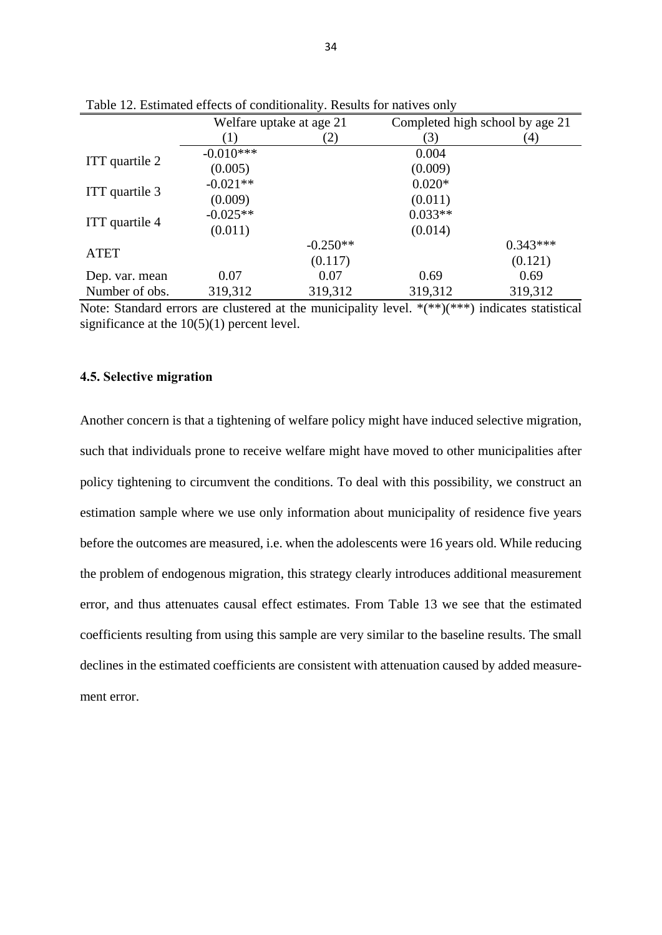|                | Welfare uptake at age 21 |                   | Completed high school by age 21 |            |
|----------------|--------------------------|-------------------|---------------------------------|------------|
|                | (1)                      | $\left( 2\right)$ | (3)                             | (4)        |
| ITT quartile 2 | $-0.010***$              |                   | 0.004                           |            |
|                | (0.005)                  |                   | (0.009)                         |            |
| ITT quartile 3 | $-0.021**$               |                   | $0.020*$                        |            |
|                | (0.009)                  |                   | (0.011)                         |            |
| ITT quartile 4 | $-0.025**$               |                   | $0.033**$                       |            |
|                | (0.011)                  |                   | (0.014)                         |            |
| <b>ATET</b>    |                          | $-0.250**$        |                                 | $0.343***$ |
|                |                          | (0.117)           |                                 | (0.121)    |
| Dep. var. mean | 0.07                     | 0.07              | 0.69                            | 0.69       |
| Number of obs. | 319,312                  | 319,312           | 319,312                         | 319,312    |

Table 12. Estimated effects of conditionality. Results for natives only

Note: Standard errors are clustered at the municipality level. \*(\*\*)(\*\*\*) indicates statistical significance at the  $10(5)(1)$  percent level.

#### **4.5. Selective migration**

Another concern is that a tightening of welfare policy might have induced selective migration, such that individuals prone to receive welfare might have moved to other municipalities after policy tightening to circumvent the conditions. To deal with this possibility, we construct an estimation sample where we use only information about municipality of residence five years before the outcomes are measured, i.e. when the adolescents were 16 years old. While reducing the problem of endogenous migration, this strategy clearly introduces additional measurement error, and thus attenuates causal effect estimates. From Table 13 we see that the estimated coefficients resulting from using this sample are very similar to the baseline results. The small declines in the estimated coefficients are consistent with attenuation caused by added measurement error.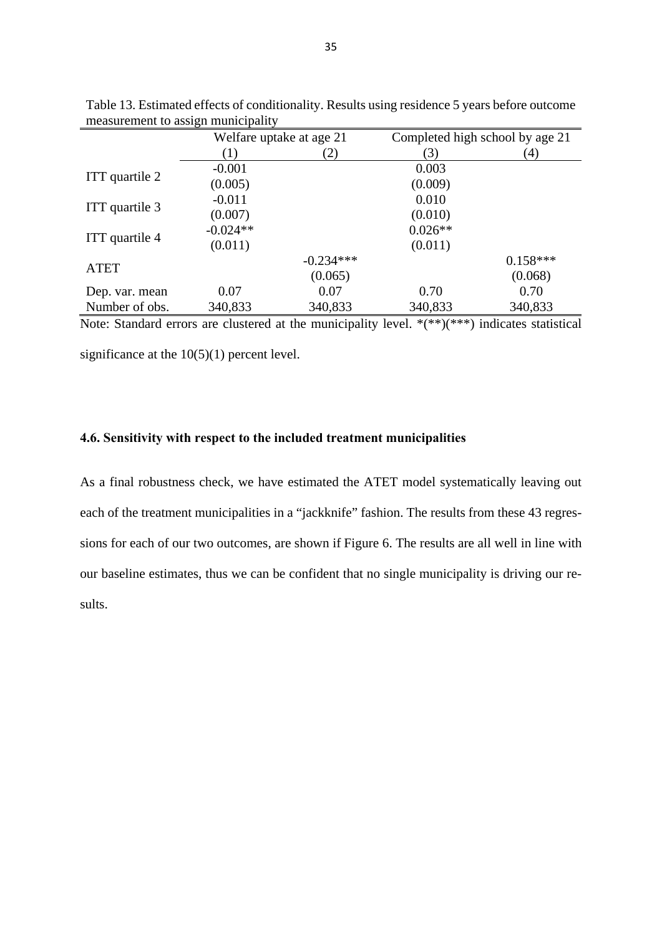|                | Welfare uptake at age 21 |             | Completed high school by age 21 |                  |
|----------------|--------------------------|-------------|---------------------------------|------------------|
|                | $\left(1\right)$         | (2)         | (3)                             | $\left(4\right)$ |
| ITT quartile 2 | $-0.001$                 |             | 0.003                           |                  |
|                | (0.005)                  |             | (0.009)                         |                  |
| ITT quartile 3 | $-0.011$                 |             | 0.010                           |                  |
|                | (0.007)                  |             | (0.010)                         |                  |
| ITT quartile 4 | $-0.024**$               |             | $0.026**$                       |                  |
|                | (0.011)                  |             | (0.011)                         |                  |
| <b>ATET</b>    |                          | $-0.234***$ |                                 | $0.158***$       |
|                |                          | (0.065)     |                                 | (0.068)          |
| Dep. var. mean | 0.07                     | 0.07        | 0.70                            | 0.70             |
| Number of obs. | 340,833                  | 340,833     | 340,833                         | 340,833          |

Table 13. Estimated effects of conditionality. Results using residence 5 years before outcome measurement to assign municipality

Note: Standard errors are clustered at the municipality level.  $*(**)(***)$  indicates statistical

significance at the  $10(5)(1)$  percent level.

#### **4.6. Sensitivity with respect to the included treatment municipalities**

As a final robustness check, we have estimated the ATET model systematically leaving out each of the treatment municipalities in a "jackknife" fashion. The results from these 43 regressions for each of our two outcomes, are shown if Figure 6. The results are all well in line with our baseline estimates, thus we can be confident that no single municipality is driving our results.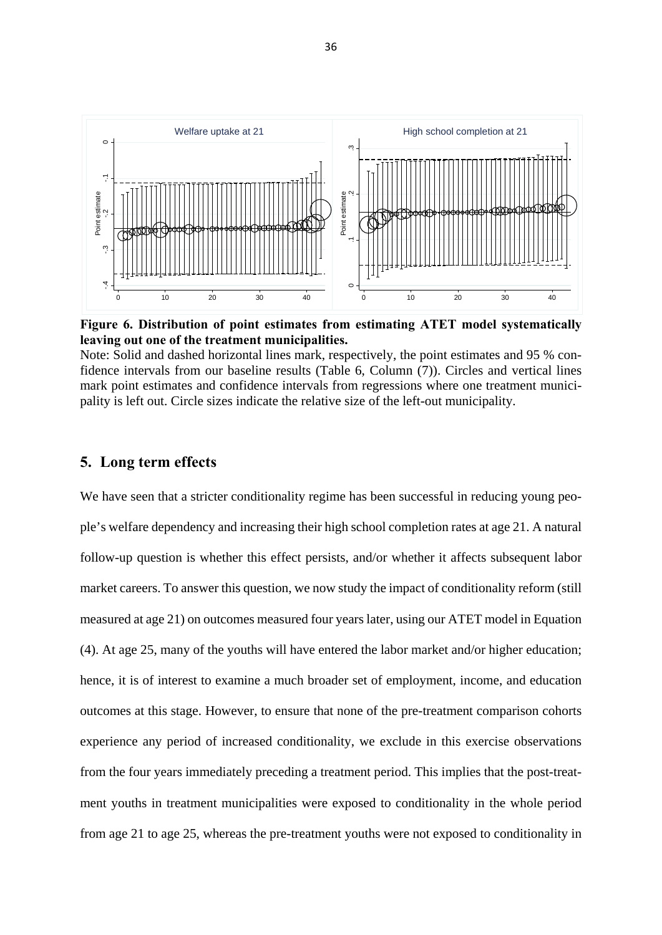

**Figure 6. Distribution of point estimates from estimating ATET model systematically leaving out one of the treatment municipalities.** 

Note: Solid and dashed horizontal lines mark, respectively, the point estimates and 95 % confidence intervals from our baseline results (Table 6, Column (7)). Circles and vertical lines mark point estimates and confidence intervals from regressions where one treatment municipality is left out. Circle sizes indicate the relative size of the left-out municipality.

#### **5. Long term effects**

We have seen that a stricter conditionality regime has been successful in reducing young people's welfare dependency and increasing their high school completion rates at age 21. A natural follow-up question is whether this effect persists, and/or whether it affects subsequent labor market careers. To answer this question, we now study the impact of conditionality reform (still measured at age 21) on outcomes measured four years later, using our ATET model in Equation (4). At age 25, many of the youths will have entered the labor market and/or higher education; hence, it is of interest to examine a much broader set of employment, income, and education outcomes at this stage. However, to ensure that none of the pre-treatment comparison cohorts experience any period of increased conditionality, we exclude in this exercise observations from the four years immediately preceding a treatment period. This implies that the post-treatment youths in treatment municipalities were exposed to conditionality in the whole period From age 21 to age 25, whereas the pre-treatment prices were exposed to conditionality in  $\frac{1}{2}$ . The pre-treatment youth estimates and confidence intervals from extimating ATRT mudd vyternatically and the conditional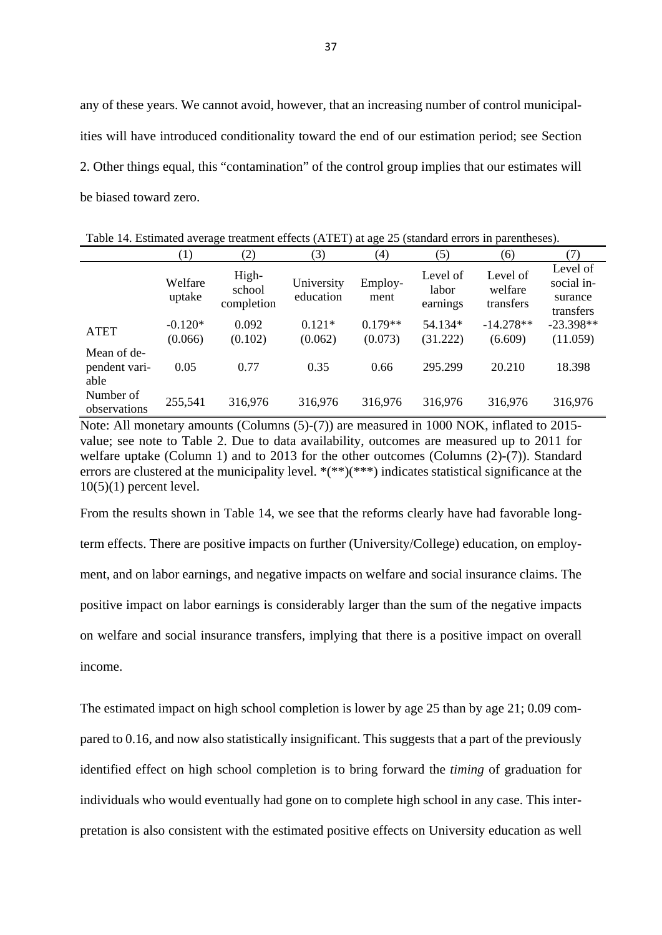any of these years. We cannot avoid, however, that an increasing number of control municipalities will have introduced conditionality toward the end of our estimation period; see Section 2. Other things equal, this "contamination" of the control group implies that our estimates will be biased toward zero.

|                                      |                      | ັ                             |                         | ັ                    |                               |                                  |                                                |  |
|--------------------------------------|----------------------|-------------------------------|-------------------------|----------------------|-------------------------------|----------------------------------|------------------------------------------------|--|
|                                      | (1)                  | (2)                           | (3)                     | (4)                  | (5)                           | (6)                              | (7)                                            |  |
|                                      | Welfare<br>uptake    | High-<br>school<br>completion | University<br>education | Employ-<br>ment      | Level of<br>labor<br>earnings | Level of<br>welfare<br>transfers | Level of<br>social in-<br>surance<br>transfers |  |
| <b>ATET</b>                          | $-0.120*$<br>(0.066) | 0.092<br>(0.102)              | $0.121*$<br>(0.062)     | $0.179**$<br>(0.073) | 54.134*<br>(31.222)           | $-14.278**$<br>(6.609)           | $-23.398**$<br>(11.059)                        |  |
| Mean of de-<br>pendent vari-<br>able | 0.05                 | 0.77                          | 0.35                    | 0.66                 | 295.299                       | 20.210                           | 18.398                                         |  |
| Number of<br>observations            | 255,541              | 316,976                       | 316,976                 | 316,976              | 316,976                       | 316,976                          | 316,976                                        |  |

Table 14. Estimated average treatment effects (ATET) at age 25 (standard errors in parentheses).

Note: All monetary amounts (Columns (5)-(7)) are measured in 1000 NOK, inflated to 2015 value; see note to Table 2. Due to data availability, outcomes are measured up to 2011 for welfare uptake (Column 1) and to 2013 for the other outcomes (Columns (2)-(7)). Standard errors are clustered at the municipality level. \*(\*\*)(\*\*\*) indicates statistical significance at the  $10(5)(1)$  percent level.

From the results shown in Table 14, we see that the reforms clearly have had favorable longterm effects. There are positive impacts on further (University/College) education, on employment, and on labor earnings, and negative impacts on welfare and social insurance claims. The positive impact on labor earnings is considerably larger than the sum of the negative impacts on welfare and social insurance transfers, implying that there is a positive impact on overall income.

The estimated impact on high school completion is lower by age 25 than by age 21; 0.09 compared to 0.16, and now also statistically insignificant. This suggests that a part of the previously identified effect on high school completion is to bring forward the *timing* of graduation for individuals who would eventually had gone on to complete high school in any case. This interpretation is also consistent with the estimated positive effects on University education as well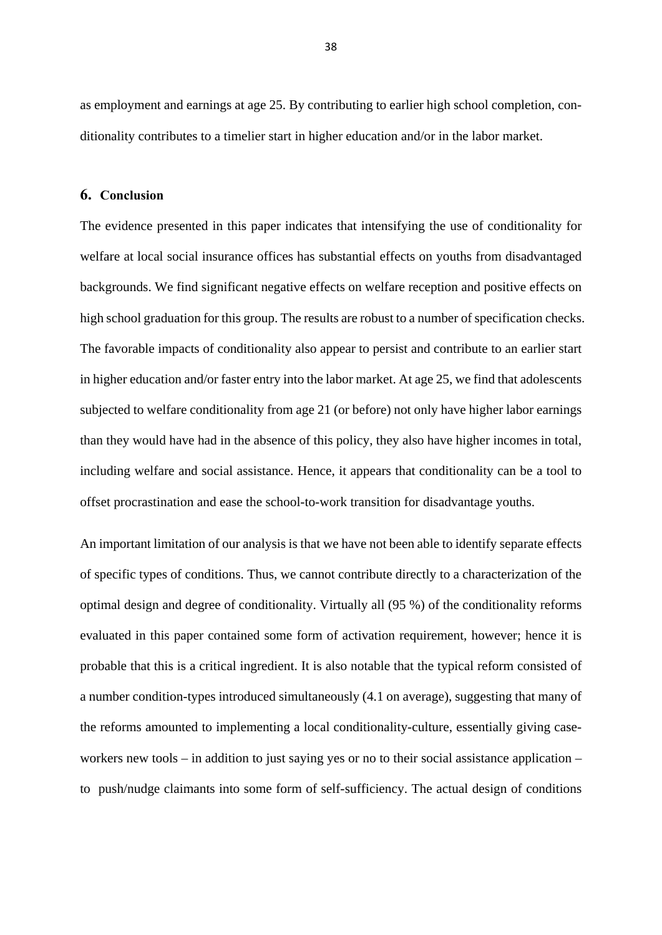as employment and earnings at age 25. By contributing to earlier high school completion, conditionality contributes to a timelier start in higher education and/or in the labor market.

#### **6. Conclusion**

The evidence presented in this paper indicates that intensifying the use of conditionality for welfare at local social insurance offices has substantial effects on youths from disadvantaged backgrounds. We find significant negative effects on welfare reception and positive effects on high school graduation for this group. The results are robust to a number of specification checks. The favorable impacts of conditionality also appear to persist and contribute to an earlier start in higher education and/or faster entry into the labor market. At age 25, we find that adolescents subjected to welfare conditionality from age 21 (or before) not only have higher labor earnings than they would have had in the absence of this policy, they also have higher incomes in total, including welfare and social assistance. Hence, it appears that conditionality can be a tool to offset procrastination and ease the school-to-work transition for disadvantage youths.

An important limitation of our analysis is that we have not been able to identify separate effects of specific types of conditions. Thus, we cannot contribute directly to a characterization of the optimal design and degree of conditionality. Virtually all (95 %) of the conditionality reforms evaluated in this paper contained some form of activation requirement, however; hence it is probable that this is a critical ingredient. It is also notable that the typical reform consisted of a number condition-types introduced simultaneously (4.1 on average), suggesting that many of the reforms amounted to implementing a local conditionality-culture, essentially giving caseworkers new tools – in addition to just saying yes or no to their social assistance application – to push/nudge claimants into some form of self-sufficiency. The actual design of conditions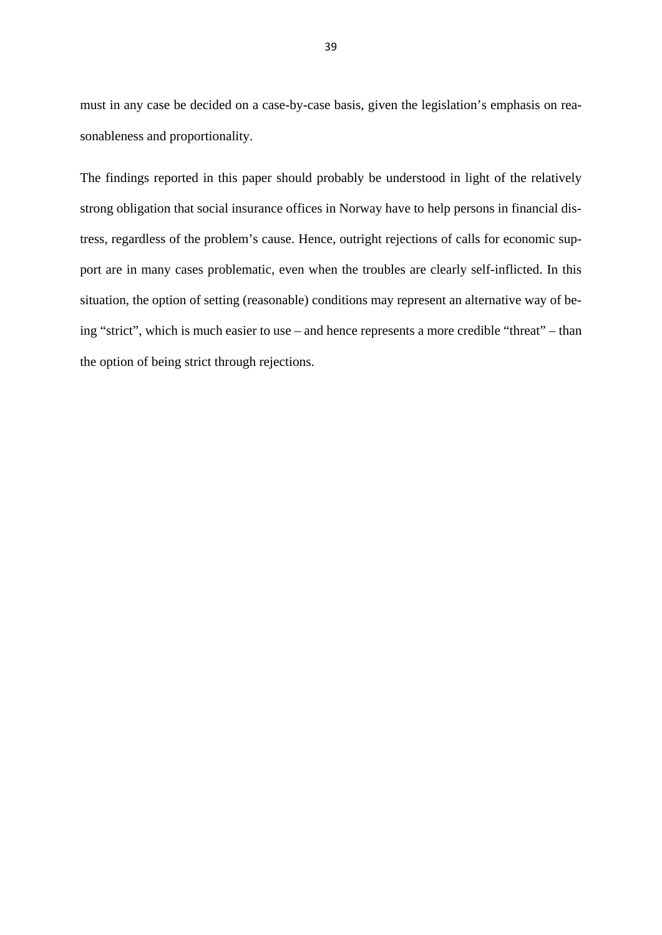must in any case be decided on a case-by-case basis, given the legislation's emphasis on reasonableness and proportionality.

The findings reported in this paper should probably be understood in light of the relatively strong obligation that social insurance offices in Norway have to help persons in financial distress, regardless of the problem's cause. Hence, outright rejections of calls for economic support are in many cases problematic, even when the troubles are clearly self-inflicted. In this situation, the option of setting (reasonable) conditions may represent an alternative way of being "strict", which is much easier to use – and hence represents a more credible "threat" – than the option of being strict through rejections.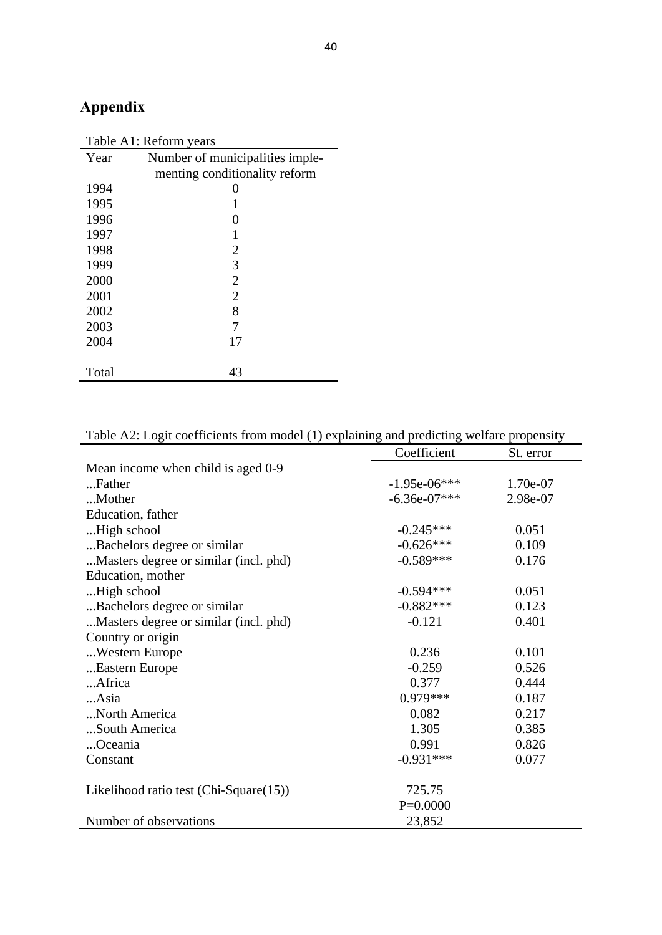# **Appendix**

| Table A1: Reform years |                                 |  |  |  |
|------------------------|---------------------------------|--|--|--|
| Year                   | Number of municipalities imple- |  |  |  |
|                        | menting conditionality reform   |  |  |  |
| 1994                   | 0                               |  |  |  |
| 1995                   |                                 |  |  |  |
| 1996                   | $\mathbf{\Omega}$               |  |  |  |
| 1997                   | 1                               |  |  |  |
| 1998                   | 2                               |  |  |  |
| 1999                   | 3                               |  |  |  |
| 2000                   | $\overline{2}$                  |  |  |  |
| 2001                   | $\overline{2}$                  |  |  |  |
| 2002                   | 8                               |  |  |  |
| 2003                   | 7                               |  |  |  |
| 2004                   | 17                              |  |  |  |
|                        |                                 |  |  |  |
| Total                  | 43                              |  |  |  |

|                                        | Coefficient    | St. error |
|----------------------------------------|----------------|-----------|
| Mean income when child is aged 0-9     |                |           |
| Father                                 | $-1.95e-06***$ | 1.70e-07  |
| Mother                                 | $-6.36e-07***$ | 2.98e-07  |
| Education, father                      |                |           |
| High school                            | $-0.245***$    | 0.051     |
| Bachelors degree or similar.           | $-0.626***$    | 0.109     |
| Masters degree or similar (incl. phd)  | $-0.589***$    | 0.176     |
| Education, mother                      |                |           |
| High school                            | $-0.594***$    | 0.051     |
| Bachelors degree or similar.           | $-0.882***$    | 0.123     |
| Masters degree or similar (incl. phd)  | $-0.121$       | 0.401     |
| Country or origin                      |                |           |
| Western Europe                         | 0.236          | 0.101     |
| Eastern Europe                         | $-0.259$       | 0.526     |
| Africa                                 | 0.377          | 0.444     |
| Asia                                   | $0.979***$     | 0.187     |
| North America                          | 0.082          | 0.217     |
| South America                          | 1.305          | 0.385     |
| Oceania                                | 0.991          | 0.826     |
| Constant                               | $-0.931***$    | 0.077     |
| Likelihood ratio test (Chi-Square(15)) | 725.75         |           |
|                                        | $P=0.0000$     |           |
| Number of observations                 | 23,852         |           |

# Table A2: Logit coefficients from model (1) explaining and predicting welfare propensity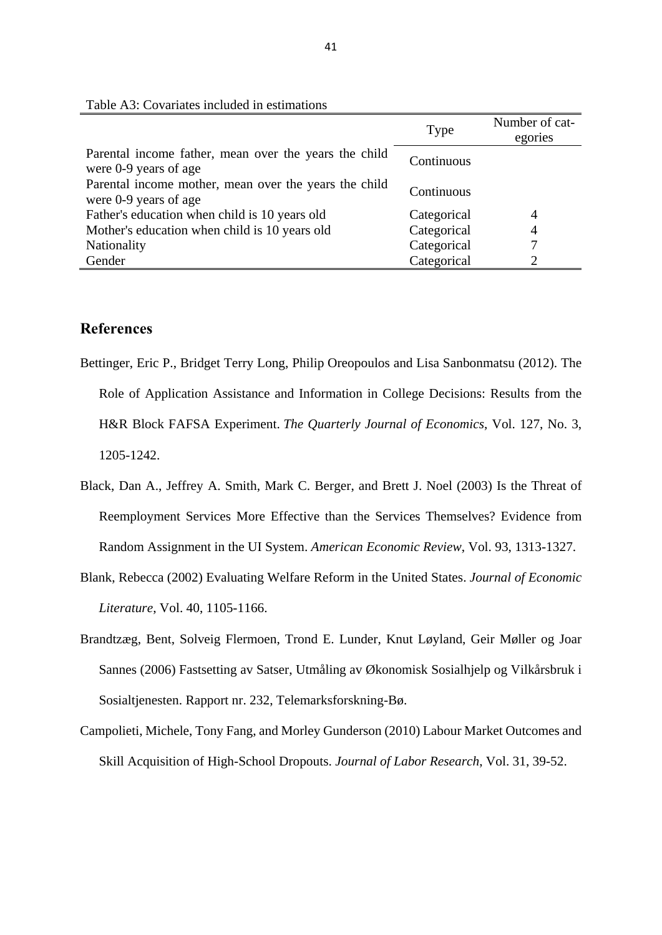|                                                                                | Type        | Number of cat-<br>egories |
|--------------------------------------------------------------------------------|-------------|---------------------------|
| Parental income father, mean over the years the child<br>were 0-9 years of age | Continuous  |                           |
| Parental income mother, mean over the years the child<br>were 0-9 years of age | Continuous  |                           |
| Father's education when child is 10 years old                                  | Categorical | 4                         |
| Mother's education when child is 10 years old                                  | Categorical | 4                         |
| Nationality                                                                    | Categorical |                           |
| Gender                                                                         | Categorical |                           |

Table A3: Covariates included in estimations

### **References**

- Bettinger, Eric P., Bridget Terry Long, Philip Oreopoulos and Lisa Sanbonmatsu (2012). The Role of Application Assistance and Information in College Decisions: Results from the H&R Block FAFSA Experiment. *The Quarterly Journal of Economics*, Vol. 127, No. 3, 1205-1242.
- Black, Dan A., Jeffrey A. Smith, Mark C. Berger, and Brett J. Noel (2003) Is the Threat of Reemployment Services More Effective than the Services Themselves? Evidence from Random Assignment in the UI System. *American Economic Review*, Vol. 93, 1313-1327.
- Blank, Rebecca (2002) Evaluating Welfare Reform in the United States. *Journal of Economic Literature*, Vol. 40, 1105-1166.
- Brandtzæg, Bent, Solveig Flermoen, Trond E. Lunder, Knut Løyland, Geir Møller og Joar Sannes (2006) Fastsetting av Satser, Utmåling av Økonomisk Sosialhjelp og Vilkårsbruk i Sosialtjenesten. Rapport nr. 232, Telemarksforskning-Bø.
- Campolieti, Michele, Tony Fang, and Morley Gunderson (2010) Labour Market Outcomes and Skill Acquisition of High-School Dropouts. *Journal of Labor Research*, Vol. 31, 39-52.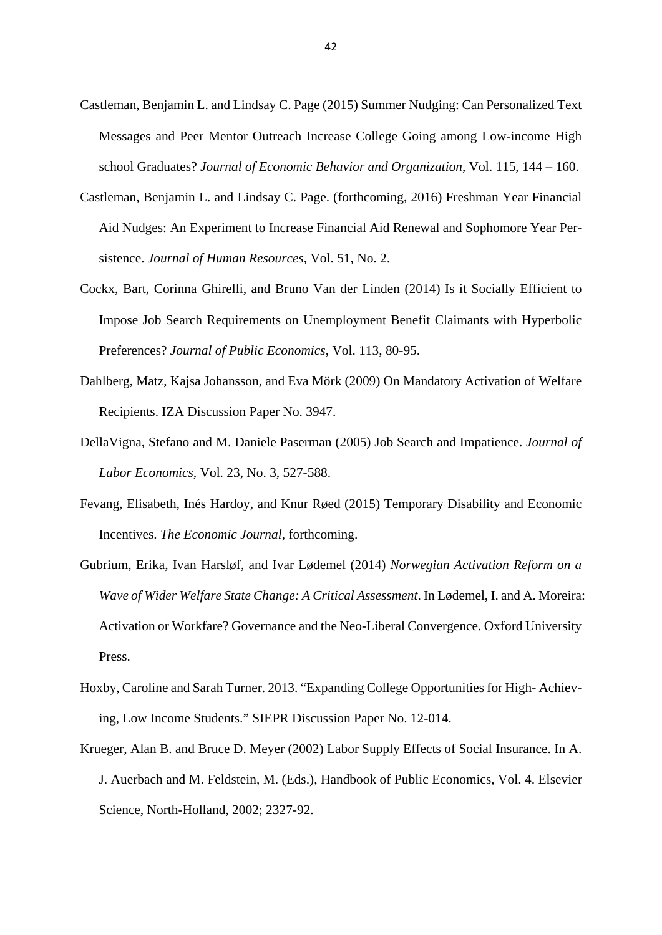- Castleman, Benjamin L. and Lindsay C. Page (2015) Summer Nudging: Can Personalized Text Messages and Peer Mentor Outreach Increase College Going among Low-income High school Graduates? *Journal of Economic Behavior and Organization*, Vol. 115, 144 – 160.
- Castleman, Benjamin L. and Lindsay C. Page. (forthcoming, 2016) Freshman Year Financial Aid Nudges: An Experiment to Increase Financial Aid Renewal and Sophomore Year Persistence. *Journal of Human Resources*, Vol. 51, No. 2.
- Cockx, Bart, Corinna Ghirelli, and Bruno Van der Linden (2014) Is it Socially Efficient to Impose Job Search Requirements on Unemployment Benefit Claimants with Hyperbolic Preferences? *Journal of Public Economics*, Vol. 113, 80-95.
- Dahlberg, Matz, Kajsa Johansson, and Eva Mörk (2009) On Mandatory Activation of Welfare Recipients. IZA Discussion Paper No. 3947.
- DellaVigna, Stefano and M. Daniele Paserman (2005) Job Search and Impatience. *Journal of Labor Economics,* Vol. 23, No. 3, 527-588.
- Fevang, Elisabeth, Inés Hardoy, and Knur Røed (2015) Temporary Disability and Economic Incentives. *The Economic Journal*, forthcoming.
- Gubrium, Erika, Ivan Harsløf, and Ivar Lødemel (2014) *Norwegian Activation Reform on a Wave of Wider Welfare State Change: A Critical Assessment*. In Lødemel, I. and A. Moreira: Activation or Workfare? Governance and the Neo-Liberal Convergence. Oxford University Press.
- Hoxby, Caroline and Sarah Turner. 2013. "Expanding College Opportunities for High- Achieving, Low Income Students." SIEPR Discussion Paper No. 12-014.
- Krueger, Alan B. and Bruce D. Meyer (2002) Labor Supply Effects of Social Insurance. In A. J. Auerbach and M. Feldstein, M. (Eds.), Handbook of Public Economics, Vol. 4. Elsevier Science, North-Holland, 2002; 2327-92.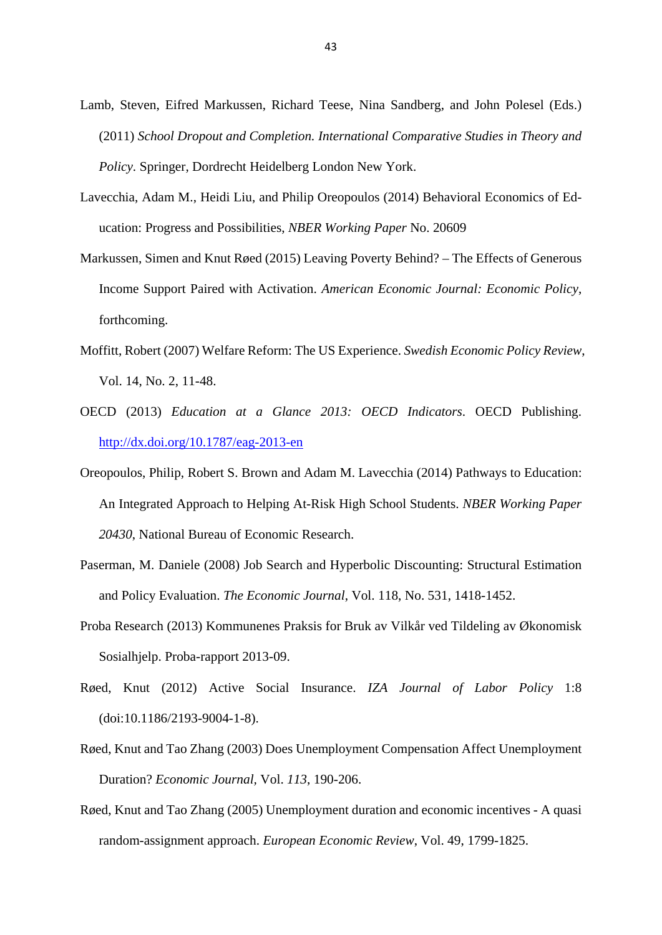- Lamb, Steven, Eifred Markussen, Richard Teese, Nina Sandberg, and John Polesel (Eds.) (2011) *School Dropout and Completion. International Comparative Studies in Theory and Policy.* Springer, Dordrecht Heidelberg London New York.
- Lavecchia, Adam M., Heidi Liu, and Philip Oreopoulos (2014) Behavioral Economics of Education: Progress and Possibilities, *NBER Working Paper* No. 20609
- Markussen, Simen and Knut Røed (2015) Leaving Poverty Behind? The Effects of Generous Income Support Paired with Activation. *American Economic Journal: Economic Policy*, forthcoming.
- Moffitt, Robert (2007) Welfare Reform: The US Experience. *Swedish Economic Policy Review*, Vol. 14, No. 2, 11-48.
- OECD (2013) *Education at a Glance 2013: OECD Indicators*. OECD Publishing. http://dx.doi.org/10.1787/eag-2013-en
- Oreopoulos, Philip, Robert S. Brown and Adam M. Lavecchia (2014) Pathways to Education: An Integrated Approach to Helping At-Risk High School Students. *NBER Working Paper 20430*, National Bureau of Economic Research.
- Paserman, M. Daniele (2008) Job Search and Hyperbolic Discounting: Structural Estimation and Policy Evaluation. *The Economic Journal*, Vol. 118, No. 531, 1418-1452.
- Proba Research (2013) Kommunenes Praksis for Bruk av Vilkår ved Tildeling av Økonomisk Sosialhjelp. Proba-rapport 2013-09.
- Røed, Knut (2012) Active Social Insurance. *IZA Journal of Labor Policy* 1:8 (doi:10.1186/2193-9004-1-8).
- Røed, Knut and Tao Zhang (2003) Does Unemployment Compensation Affect Unemployment Duration? *Economic Journal,* Vol. *113*, 190-206.
- Røed, Knut and Tao Zhang (2005) Unemployment duration and economic incentives A quasi random-assignment approach. *European Economic Review*, Vol. 49, 1799-1825.